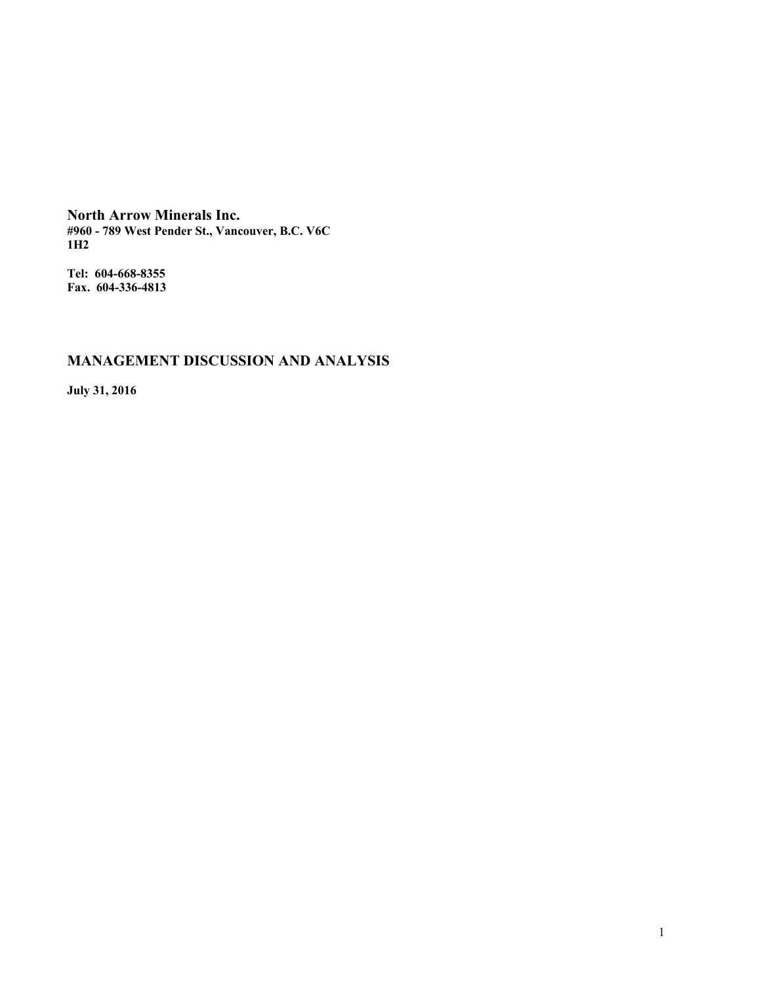**North Arrow Minerals Inc. #960 - 789 West Pender St., Vancouver, B.C. V6C 1H2**

**Tel: 604-668-8355 Fax. 604-336-4813**

# **MANAGEMENT DISCUSSION AND ANALYSIS**

**July 31, 2016**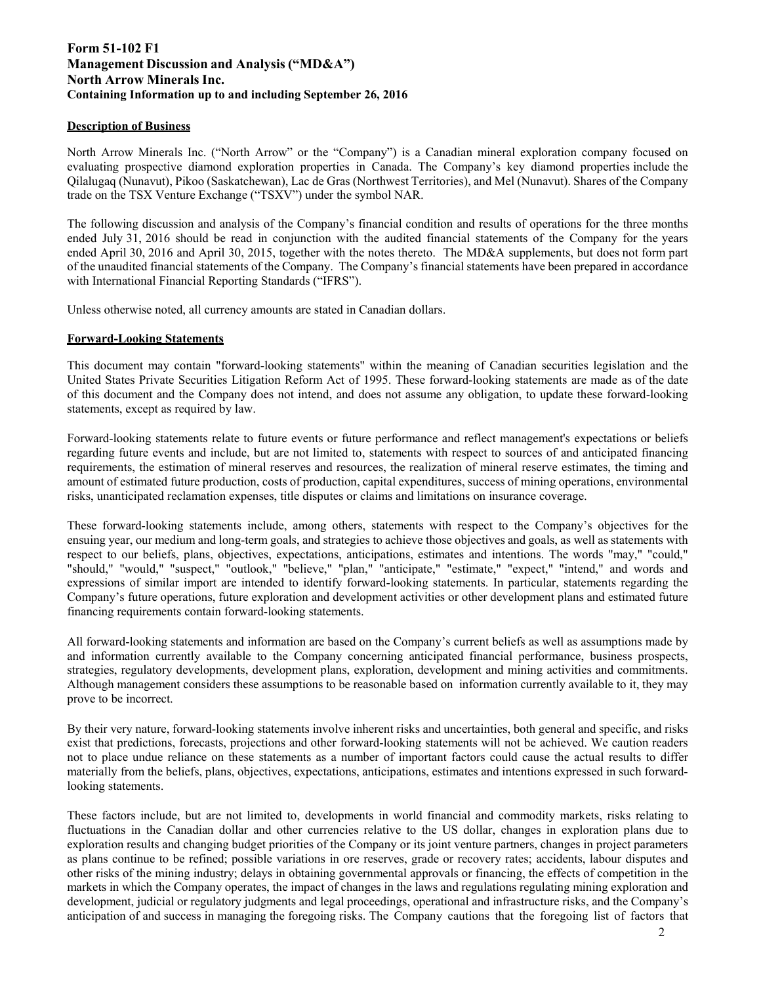# **Form 51-102 F1 Management Discussion and Analysis ("MD&A") North Arrow Minerals Inc. Containing Information up to and including September 26, 2016**

# **Description of Business**

North Arrow Minerals Inc. ("North Arrow" or the "Company") is a Canadian mineral exploration company focused on evaluating prospective diamond exploration properties in Canada. The Company's key diamond properties include the Qilalugaq (Nunavut), Pikoo (Saskatchewan), Lac de Gras (Northwest Territories), and Mel (Nunavut). Shares of the Company trade on the TSX Venture Exchange ("TSXV") under the symbol NAR.

The following discussion and analysis of the Company's financial condition and results of operations for the three months ended July 31, 2016 should be read in conjunction with the audited financial statements of the Company for the years ended April 30, 2016 and April 30, 2015, together with the notes thereto. The MD&A supplements, but does not form part of the unaudited financial statements of the Company. The Company's financial statements have been prepared in accordance with International Financial Reporting Standards ("IFRS").

Unless otherwise noted, all currency amounts are stated in Canadian dollars.

## **Forward-Looking Statements**

This document may contain "forward-looking statements" within the meaning of Canadian securities legislation and the United States Private Securities Litigation Reform Act of 1995. These forward-looking statements are made as of the date of this document and the Company does not intend, and does not assume any obligation, to update these forward-looking statements, except as required by law.

Forward-looking statements relate to future events or future performance and reflect management's expectations or beliefs regarding future events and include, but are not limited to, statements with respect to sources of and anticipated financing requirements, the estimation of mineral reserves and resources, the realization of mineral reserve estimates, the timing and amount of estimated future production, costs of production, capital expenditures, success of mining operations, environmental risks, unanticipated reclamation expenses, title disputes or claims and limitations on insurance coverage.

These forward-looking statements include, among others, statements with respect to the Company's objectives for the ensuing year, our medium and long-term goals, and strategies to achieve those objectives and goals, as well as statements with respect to our beliefs, plans, objectives, expectations, anticipations, estimates and intentions. The words "may," "could," "should," "would," "suspect," "outlook," "believe," "plan," "anticipate," "estimate," "expect," "intend," and words and expressions of similar import are intended to identify forward-looking statements. In particular, statements regarding the Company's future operations, future exploration and development activities or other development plans and estimated future financing requirements contain forward-looking statements.

All forward-looking statements and information are based on the Company's current beliefs as well as assumptions made by and information currently available to the Company concerning anticipated financial performance, business prospects, strategies, regulatory developments, development plans, exploration, development and mining activities and commitments. Although management considers these assumptions to be reasonable based on information currently available to it, they may prove to be incorrect.

By their very nature, forward-looking statements involve inherent risks and uncertainties, both general and specific, and risks exist that predictions, forecasts, projections and other forward-looking statements will not be achieved. We caution readers not to place undue reliance on these statements as a number of important factors could cause the actual results to differ materially from the beliefs, plans, objectives, expectations, anticipations, estimates and intentions expressed in such forwardlooking statements.

These factors include, but are not limited to, developments in world financial and commodity markets, risks relating to fluctuations in the Canadian dollar and other currencies relative to the US dollar, changes in exploration plans due to exploration results and changing budget priorities of the Company or its joint venture partners, changes in project parameters as plans continue to be refined; possible variations in ore reserves, grade or recovery rates; accidents, labour disputes and other risks of the mining industry; delays in obtaining governmental approvals or financing, the effects of competition in the markets in which the Company operates, the impact of changes in the laws and regulations regulating mining exploration and development, judicial or regulatory judgments and legal proceedings, operational and infrastructure risks, and the Company's anticipation of and success in managing the foregoing risks. The Company cautions that the foregoing list of factors that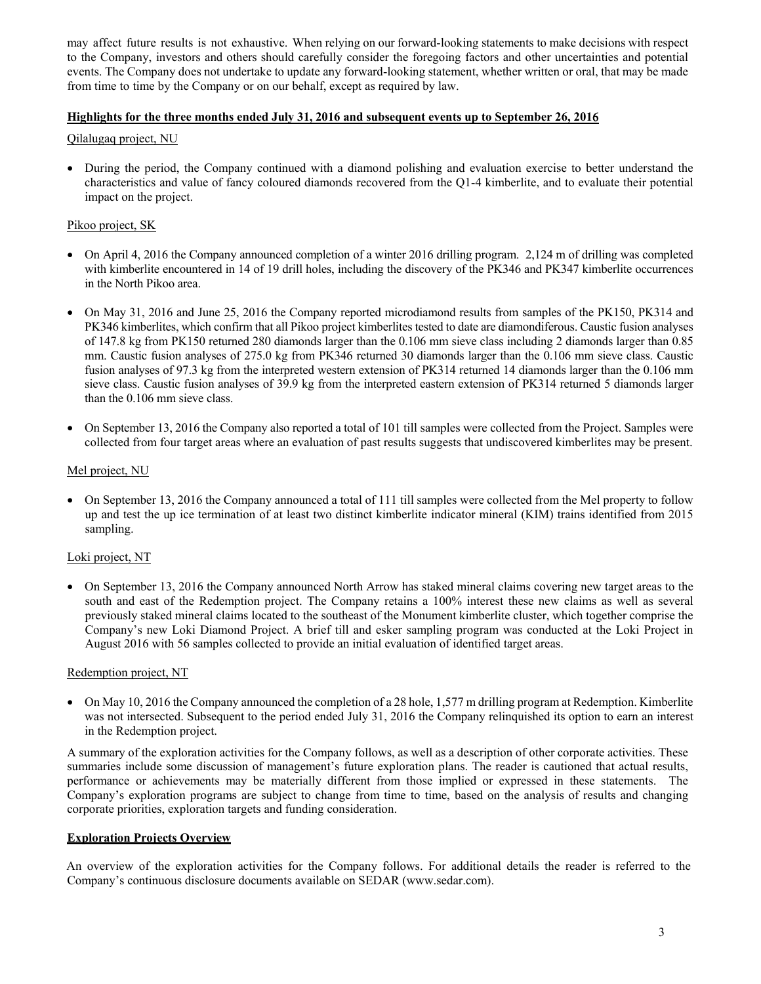may affect future results is not exhaustive. When relying on our forward-looking statements to make decisions with respect to the Company, investors and others should carefully consider the foregoing factors and other uncertainties and potential events. The Company does not undertake to update any forward-looking statement, whether written or oral, that may be made from time to time by the Company or on our behalf, except as required by law.

# **Highlights for the three months ended July 31, 2016 and subsequent events up to September 26, 201**

# Qilalugaq project, NU

 During the period, the Company continued with a diamond polishing and evaluation exercise to better understand the characteristics and value of fancy coloured diamonds recovered from the Q1-4 kimberlite, and to evaluate their potential impact on the project.

# Pikoo project, SK

- On April 4, 2016 the Company announced completion of a winter 2016 drilling program. 2,124 m of drilling was completed with kimberlite encountered in 14 of 19 drill holes, including the discovery of the PK346 and PK347 kimberlite occurrences in the North Pikoo area.
- On May 31, 2016 and June 25, 2016 the Company reported microdiamond results from samples of the PK150, PK314 and PK346 kimberlites, which confirm that all Pikoo project kimberlites tested to date are diamondiferous. Caustic fusion analyses of 147.8 kg from PK150 returned 280 diamonds larger than the 0.106 mm sieve class including 2 diamonds larger than 0.85 mm. Caustic fusion analyses of 275.0 kg from PK346 returned 30 diamonds larger than the 0.106 mm sieve class. Caustic fusion analyses of 97.3 kg from the interpreted western extension of PK314 returned 14 diamonds larger than the 0.106 mm sieve class. Caustic fusion analyses of 39.9 kg from the interpreted eastern extension of PK314 returned 5 diamonds larger than the 0.106 mm sieve class.
- On September 13, 2016 the Company also reported a total of 101 till samples were collected from the Project. Samples were collected from four target areas where an evaluation of past results suggests that undiscovered kimberlites may be present.

# Mel project, NU

• On September 13, 2016 the Company announced a total of 111 till samples were collected from the Mel property to follow up and test the up ice termination of at least two distinct kimberlite indicator mineral (KIM) trains identified from 2015 sampling.

# Loki project, NT

 On September 13, 2016 the Company announced North Arrow has staked mineral claims covering new target areas to the south and east of the Redemption project. The Company retains a 100% interest these new claims as well as several previously staked mineral claims located to the southeast of the Monument kimberlite cluster, which together comprise the Company's new Loki Diamond Project. A brief till and esker sampling program was conducted at the Loki Project in August 2016 with 56 samples collected to provide an initial evaluation of identified target areas.

# Redemption project, NT

 On May 10, 2016 the Company announced the completion of a 28 hole, 1,577 m drilling program at Redemption. Kimberlite was not intersected. Subsequent to the period ended July 31, 2016 the Company relinquished its option to earn an interest in the Redemption project.

A summary of the exploration activities for the Company follows, as well as a description of other corporate activities. These summaries include some discussion of management's future exploration plans. The reader is cautioned that actual results, performance or achievements may be materially different from those implied or expressed in these statements. The Company's exploration programs are subject to change from time to time, based on the analysis of results and changing corporate priorities, exploration targets and funding consideration.

# **Exploration Projects Overview**

An overview of the exploration activities for the Company follows. For additional details the reader is referred to the Company's continuous disclosure documents available on SEDAR (www.sedar.com).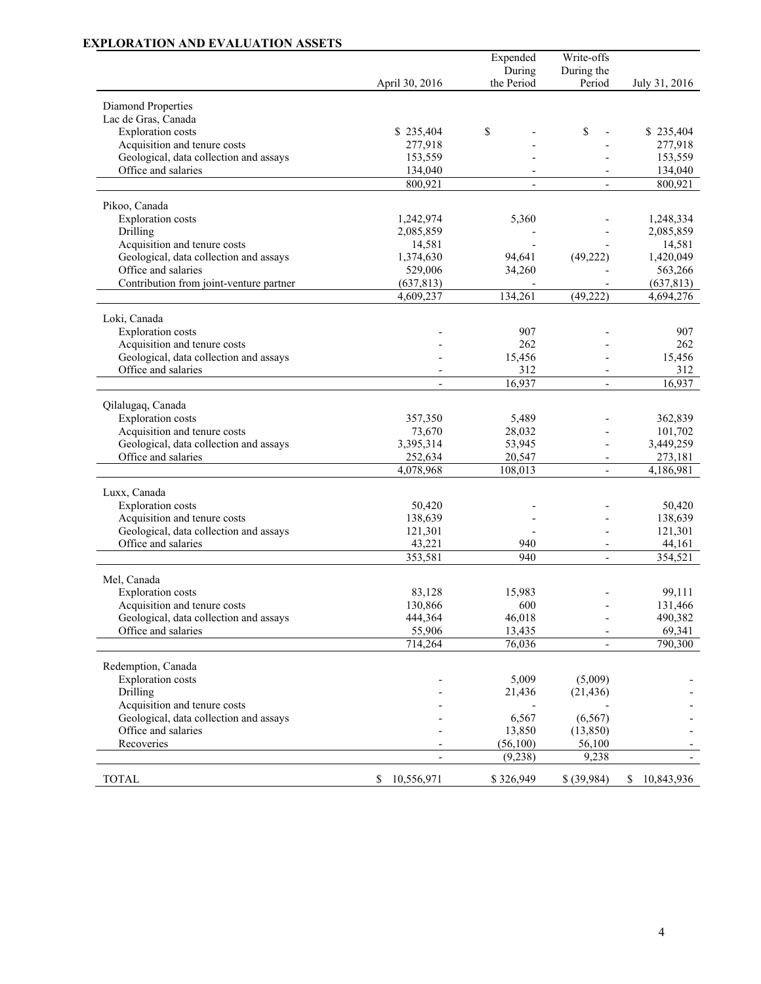# **EXPLORATION AND EVALUATION ASSETS**

|                                                                        |                          | Expended   | Write-offs               |                     |
|------------------------------------------------------------------------|--------------------------|------------|--------------------------|---------------------|
|                                                                        |                          | During     | During the               |                     |
|                                                                        | April 30, 2016           | the Period | Period                   | July 31, 2016       |
| Diamond Properties                                                     |                          |            |                          |                     |
| Lac de Gras, Canada                                                    |                          |            |                          |                     |
| <b>Exploration</b> costs                                               | \$235,404                | \$         | \$                       | \$235,404           |
| Acquisition and tenure costs                                           | 277,918                  |            |                          | 277,918             |
| Geological, data collection and assays                                 | 153,559                  |            |                          | 153,559             |
| Office and salaries                                                    | 134,040                  |            |                          | 134,040             |
|                                                                        | 800,921                  |            |                          | 800,921             |
|                                                                        |                          |            |                          |                     |
| Pikoo, Canada                                                          |                          |            |                          |                     |
| <b>Exploration</b> costs                                               | 1,242,974                | 5,360      |                          | 1,248,334           |
| Drilling                                                               | 2,085,859                |            |                          | 2,085,859           |
| Acquisition and tenure costs<br>Geological, data collection and assays | 14,581                   | 94,641     | (49, 222)                | 14,581<br>1,420,049 |
| Office and salaries                                                    | 1,374,630<br>529,006     | 34,260     |                          | 563,266             |
| Contribution from joint-venture partner                                | (637, 813)               |            |                          | (637, 813)          |
|                                                                        | 4,609,237                | 134,261    | (49, 222)                | 4,694,276           |
|                                                                        |                          |            |                          |                     |
| Loki, Canada                                                           |                          |            |                          |                     |
| <b>Exploration</b> costs                                               |                          | 907        |                          | 907                 |
| Acquisition and tenure costs                                           |                          | 262        |                          | 262                 |
| Geological, data collection and assays                                 |                          | 15,456     |                          | 15,456              |
| Office and salaries                                                    |                          | 312        |                          | 312                 |
|                                                                        | $\overline{\phantom{a}}$ | 16,937     | $\blacksquare$           | 16,937              |
| Qilalugaq, Canada                                                      |                          |            |                          |                     |
| <b>Exploration</b> costs                                               | 357,350                  | 5,489      |                          | 362,839             |
| Acquisition and tenure costs                                           | 73,670                   | 28,032     |                          | 101,702             |
| Geological, data collection and assays                                 | 3,395,314                | 53,945     |                          | 3,449,259           |
| Office and salaries                                                    | 252,634                  | 20,547     | $\overline{\phantom{a}}$ | 273,181             |
|                                                                        | 4,078,968                | 108,013    |                          | 4,186,981           |
|                                                                        |                          |            |                          |                     |
| Luxx, Canada                                                           |                          |            |                          |                     |
| <b>Exploration</b> costs<br>Acquisition and tenure costs               | 50,420<br>138,639        |            |                          | 50,420<br>138,639   |
| Geological, data collection and assays                                 | 121,301                  |            |                          | 121,301             |
| Office and salaries                                                    | 43,221                   | 940        | $\overline{\phantom{0}}$ | 44,161              |
|                                                                        | 353,581                  | 940        |                          | 354,521             |
|                                                                        |                          |            |                          |                     |
| Mel, Canada                                                            |                          |            |                          |                     |
| <b>Exploration</b> costs                                               | 83,128                   | 15,983     |                          | 99,111              |
| Acquisition and tenure costs                                           | 130,866                  | 600        |                          | 131,466             |
| Geological, data collection and assays                                 | 444,364                  | 46,018     |                          | 490,382             |
| Office and salaries                                                    | 55,906                   | 13,435     |                          | 69,341              |
|                                                                        | 714,264                  | 76,036     |                          | 790,300             |
| Redemption, Canada                                                     |                          |            |                          |                     |
| <b>Exploration</b> costs                                               |                          | 5,009      | (5,009)                  |                     |
| Drilling                                                               |                          | 21,436     | (21, 436)                |                     |
| Acquisition and tenure costs                                           |                          |            |                          |                     |
| Geological, data collection and assays                                 |                          | 6,567      | (6, 567)                 |                     |
| Office and salaries                                                    |                          | 13,850     | (13, 850)                |                     |
| Recoveries                                                             |                          | (56,100)   | 56,100                   |                     |
|                                                                        |                          | (9, 238)   | 9,238                    |                     |
|                                                                        |                          |            |                          |                     |
| <b>TOTAL</b>                                                           | \$<br>10,556,971         | \$326,949  | \$ (39,984)              | 10,843,936<br>\$    |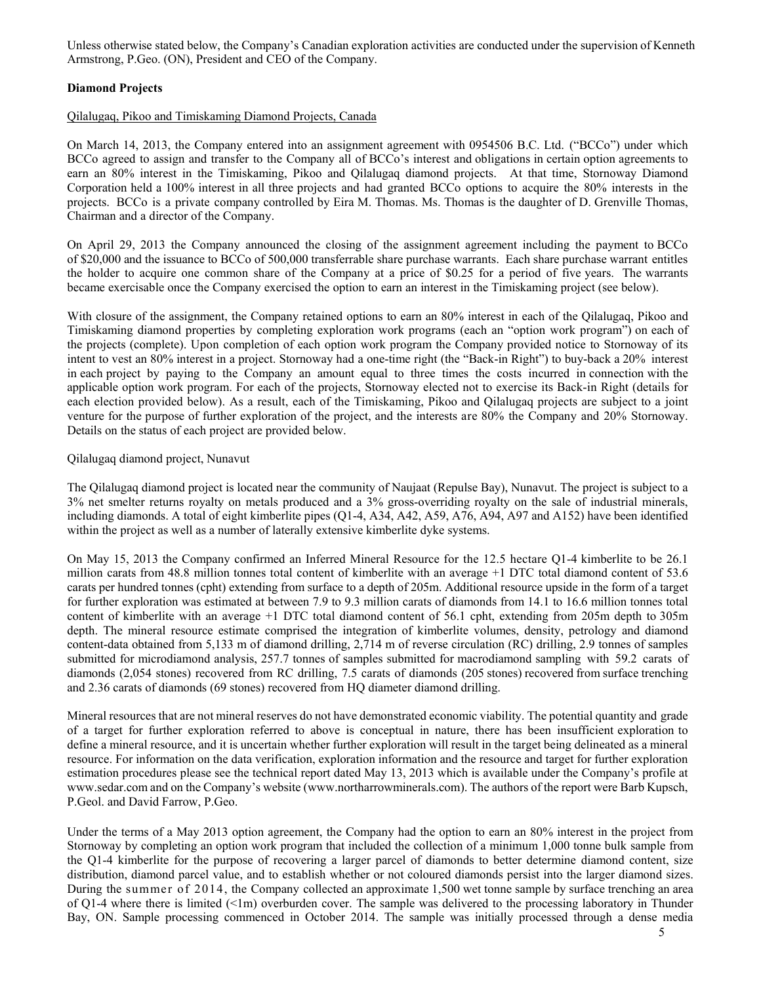Unless otherwise stated below, the Company's Canadian exploration activities are conducted under the supervision of Kenneth Armstrong, P.Geo. (ON), President and CEO of the Company.

## **Diamond Projects**

#### Qilalugaq, Pikoo and Timiskaming Diamond Projects, Canada

On March 14, 2013, the Company entered into an assignment agreement with 0954506 B.C. Ltd. ("BCCo") under which BCCo agreed to assign and transfer to the Company all of BCCo's interest and obligations in certain option agreements to earn an 80% interest in the Timiskaming, Pikoo and Qilalugaq diamond projects. At that time, Stornoway Diamond Corporation held a 100% interest in all three projects and had granted BCCo options to acquire the 80% interests in the projects. BCCo is a private company controlled by Eira M. Thomas. Ms. Thomas is the daughter of D. Grenville Thomas, Chairman and a director of the Company.

On April 29, 2013 the Company announced the closing of the assignment agreement including the payment to BCCo of \$20,000 and the issuance to BCCo of 500,000 transferrable share purchase warrants. Each share purchase warrant entitles the holder to acquire one common share of the Company at a price of \$0.25 for a period of five years. The warrants became exercisable once the Company exercised the option to earn an interest in the Timiskaming project (see below).

With closure of the assignment, the Company retained options to earn an 80% interest in each of the Qilalugaq, Pikoo and Timiskaming diamond properties by completing exploration work programs (each an "option work program") on each of the projects (complete). Upon completion of each option work program the Company provided notice to Stornoway of its intent to vest an 80% interest in a project. Stornoway had a one-time right (the "Back-in Right") to buy-back a 20% interest in each project by paying to the Company an amount equal to three times the costs incurred in connection with the applicable option work program. For each of the projects, Stornoway elected not to exercise its Back-in Right (details for each election provided below). As a result, each of the Timiskaming, Pikoo and Qilalugaq projects are subject to a joint venture for the purpose of further exploration of the project, and the interests are 80% the Company and 20% Stornoway. Details on the status of each project are provided below.

#### Qilalugaq diamond project, Nunavut

The Qilalugaq diamond project is located near the community of Naujaat (Repulse Bay), Nunavut. The project is subject to a 3% net smelter returns royalty on metals produced and a 3% gross-overriding royalty on the sale of industrial minerals, including diamonds. A total of eight kimberlite pipes (Q1-4, A34, A42, A59, A76, A94, A97 and A152) have been identified within the project as well as a number of laterally extensive kimberlite dyke systems.

On May 15, 2013 the Company confirmed an Inferred Mineral Resource for the 12.5 hectare Q1-4 kimberlite to be 26.1 million carats from 48.8 million tonnes total content of kimberlite with an average +1 DTC total diamond content of 53.6 carats per hundred tonnes (cpht) extending from surface to a depth of 205m. Additional resource upside in the form of a target for further exploration was estimated at between 7.9 to 9.3 million carats of diamonds from 14.1 to 16.6 million tonnes total content of kimberlite with an average +1 DTC total diamond content of 56.1 cpht, extending from 205m depth to 305m depth. The mineral resource estimate comprised the integration of kimberlite volumes, density, petrology and diamond content-data obtained from 5,133 m of diamond drilling, 2,714 m of reverse circulation (RC) drilling, 2.9 tonnes of samples submitted for microdiamond analysis, 257.7 tonnes of samples submitted for macrodiamond sampling with 59.2 carats of diamonds (2,054 stones) recovered from RC drilling, 7.5 carats of diamonds (205 stones) recovered from surface trenching and 2.36 carats of diamonds (69 stones) recovered from HQ diameter diamond drilling.

Mineral resources that are not mineral reserves do not have demonstrated economic viability. The potential quantity and grade of a target for further exploration referred to above is conceptual in nature, there has been insufficient exploration to define a mineral resource, and it is uncertain whether further exploration will result in the target being delineated as a mineral resource. For information on the data verification, exploration information and the resource and target for further exploration estimation procedures please see the technical report dated May 13, 2013 which is available under the Company's profile at www.sedar.com and on the Company's website (www.northarrowminerals.com). The authors of the report were Barb Kupsch, P.Geol. and David Farrow, P.Geo.

Under the terms of a May 2013 option agreement, the Company had the option to earn an 80% interest in the project from Stornoway by completing an option work program that included the collection of a minimum 1,000 tonne bulk sample from the Q1-4 kimberlite for the purpose of recovering a larger parcel of diamonds to better determine diamond content, size distribution, diamond parcel value, and to establish whether or not coloured diamonds persist into the larger diamond sizes. During the summer of 2014, the Company collected an approximate 1,500 wet tonne sample by surface trenching an area of Q1-4 where there is limited (<1m) overburden cover. The sample was delivered to the processing laboratory in Thunder Bay, ON. Sample processing commenced in October 2014. The sample was initially processed through a dense media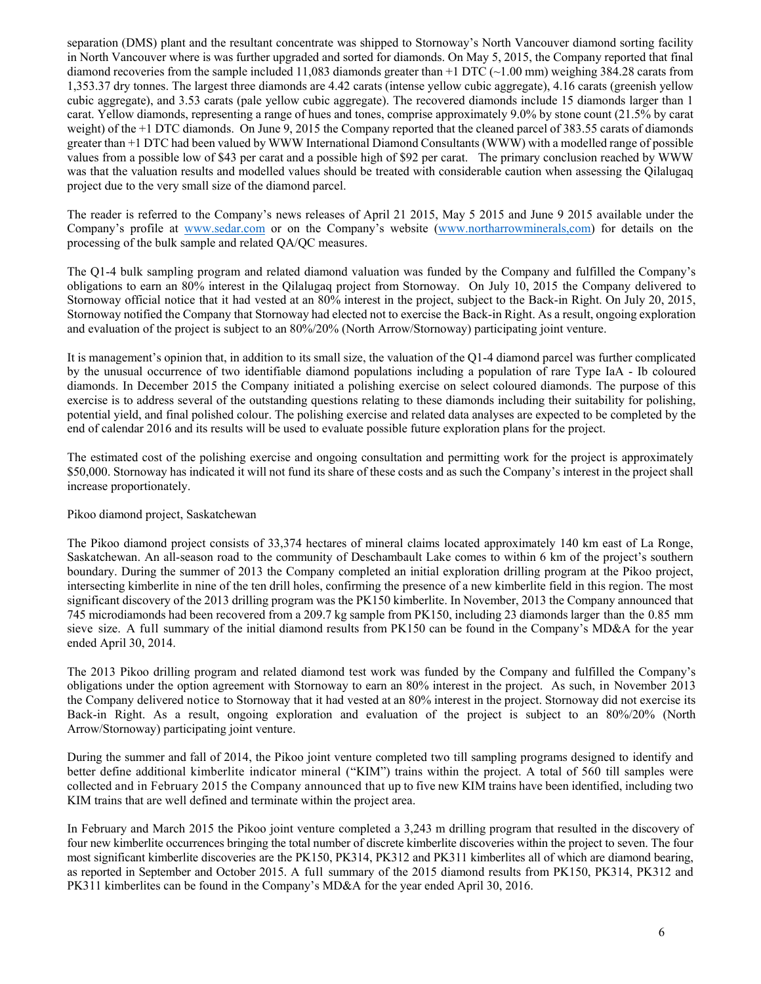separation (DMS) plant and the resultant concentrate was shipped to Stornoway's North Vancouver diamond sorting facility in North Vancouver where is was further upgraded and sorted for diamonds. On May 5, 2015, the Company reported that final diamond recoveries from the sample included 11,083 diamonds greater than  $+1$  DTC ( $\sim$ 1.00 mm) weighing 384.28 carats from 1,353.37 dry tonnes. The largest three diamonds are 4.42 carats (intense yellow cubic aggregate), 4.16 carats (greenish yellow cubic aggregate), and 3.53 carats (pale yellow cubic aggregate). The recovered diamonds include 15 diamonds larger than 1 carat. Yellow diamonds, representing a range of hues and tones, comprise approximately 9.0% by stone count (21.5% by carat weight) of the +1 DTC diamonds. On June 9, 2015 the Company reported that the cleaned parcel of 383.55 carats of diamonds greater than +1 DTC had been valued by WWW International Diamond Consultants (WWW) with a modelled range of possible values from a possible low of \$43 per carat and a possible high of \$92 per carat. The primary conclusion reached by WWW was that the valuation results and modelled values should be treated with considerable caution when assessing the Qilalugaq project due to the very small size of the diamond parcel.

The reader is referred to the Company's news releases of April 21 2015, May 5 2015 and June 9 2015 available under the Company's profile at www.sedar.com or on the Company's website (www.northarrowminerals,com) for details on the processing of the bulk sample and related QA/QC measures.

The Q1-4 bulk sampling program and related diamond valuation was funded by the Company and fulfilled the Company's obligations to earn an 80% interest in the Qilalugaq project from Stornoway. On July 10, 2015 the Company delivered to Stornoway official notice that it had vested at an 80% interest in the project, subject to the Back-in Right. On July 20, 2015, Stornoway notified the Company that Stornoway had elected not to exercise the Back-in Right. As a result, ongoing exploration and evaluation of the project is subject to an 80%/20% (North Arrow/Stornoway) participating joint venture.

It is management's opinion that, in addition to its small size, the valuation of the Q1-4 diamond parcel was further complicated by the unusual occurrence of two identifiable diamond populations including a population of rare Type IaA - Ib coloured diamonds. In December 2015 the Company initiated a polishing exercise on select coloured diamonds. The purpose of this exercise is to address several of the outstanding questions relating to these diamonds including their suitability for polishing, potential yield, and final polished colour. The polishing exercise and related data analyses are expected to be completed by the end of calendar 2016 and its results will be used to evaluate possible future exploration plans for the project.

The estimated cost of the polishing exercise and ongoing consultation and permitting work for the project is approximately \$50,000. Stornoway has indicated it will not fund its share of these costs and as such the Company's interest in the project shall increase proportionately.

# Pikoo diamond project, Saskatchewan

The Pikoo diamond project consists of 33,374 hectares of mineral claims located approximately 140 km east of La Ronge, Saskatchewan. An all-season road to the community of Deschambault Lake comes to within 6 km of the project's southern boundary. During the summer of 2013 the Company completed an initial exploration drilling program at the Pikoo project, intersecting kimberlite in nine of the ten drill holes, confirming the presence of a new kimberlite field in this region. The most significant discovery of the 2013 drilling program was the PK150 kimberlite. In November, 2013 the Company announced that 745 microdiamonds had been recovered from a 209.7 kg sample from PK150, including 23 diamonds larger than the 0.85 mm sieve size. A full summary of the initial diamond results from PK150 can be found in the Company's MD&A for the year ended April 30, 2014.

The 2013 Pikoo drilling program and related diamond test work was funded by the Company and fulfilled the Company's obligations under the option agreement with Stornoway to earn an 80% interest in the project. As such, in November 2013 the Company delivered notice to Stornoway that it had vested at an 80% interest in the project. Stornoway did not exercise its Back-in Right. As a result, ongoing exploration and evaluation of the project is subject to an 80%/20% (North Arrow/Stornoway) participating joint venture.

During the summer and fall of 2014, the Pikoo joint venture completed two till sampling programs designed to identify and better define additional kimberlite indicator mineral ("KIM") trains within the project. A total of 560 till samples were collected and in February 2015 the Company announced that up to five new KIM trains have been identified, including two KIM trains that are well defined and terminate within the project area.

In February and March 2015 the Pikoo joint venture completed a 3,243 m drilling program that resulted in the discovery of four new kimberlite occurrences bringing the total number of discrete kimberlite discoveries within the project to seven. The four most significant kimberlite discoveries are the PK150, PK314, PK312 and PK311 kimberlites all of which are diamond bearing, as reported in September and October 2015. A full summary of the 2015 diamond results from PK150, PK314, PK312 and PK311 kimberlites can be found in the Company's MD&A for the year ended April 30, 2016.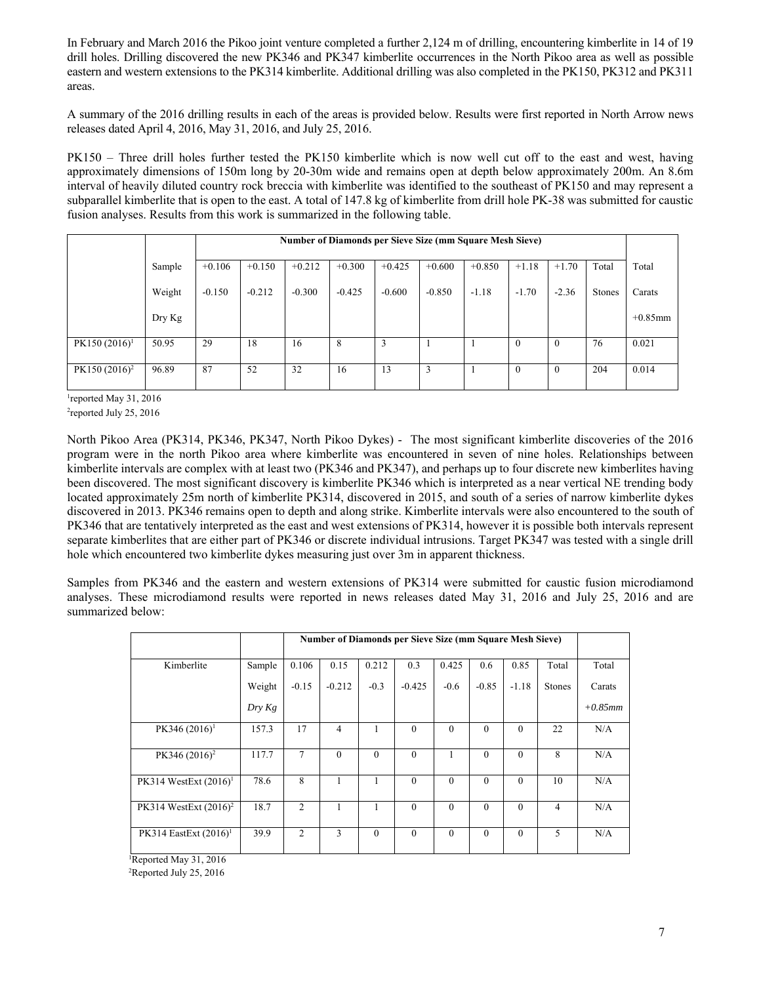In February and March 2016 the Pikoo joint venture completed a further 2,124 m of drilling, encountering kimberlite in 14 of 19 drill holes. Drilling discovered the new PK346 and PK347 kimberlite occurrences in the North Pikoo area as well as possible eastern and western extensions to the PK314 kimberlite. Additional drilling was also completed in the PK150, PK312 and PK311 areas.

A summary of the 2016 drilling results in each of the areas is provided below. Results were first reported in North Arrow news releases dated April 4, 2016, May 31, 2016, and July 25, 2016.

PK150 – Three drill holes further tested the PK150 kimberlite which is now well cut off to the east and west, having approximately dimensions of 150m long by 20-30m wide and remains open at depth below approximately 200m. An 8.6m interval of heavily diluted country rock breccia with kimberlite was identified to the southeast of PK150 and may represent a subparallel kimberlite that is open to the east. A total of 147.8 kg of kimberlite from drill hole PK-38 was submitted for caustic fusion analyses. Results from this work is summarized in the following table.

|                  |        |          |          |          |          |          |          | Number of Diamonds per Sieve Size (mm Square Mesh Sieve) |          |              |               |            |
|------------------|--------|----------|----------|----------|----------|----------|----------|----------------------------------------------------------|----------|--------------|---------------|------------|
|                  | Sample | $+0.106$ | $+0.150$ | $+0.212$ | $+0.300$ | $+0.425$ | $+0.600$ | $+0.850$                                                 | $+1.18$  | $+1.70$      | Total         | Total      |
|                  | Weight | $-0.150$ | $-0.212$ | $-0.300$ | $-0.425$ | $-0.600$ | $-0.850$ | $-1.18$                                                  | $-1.70$  | $-2.36$      | <b>Stones</b> | Carats     |
|                  | Dry Kg |          |          |          |          |          |          |                                                          |          |              |               | $+0.85$ mm |
| $PK150 (2016)^1$ | 50.95  | 29       | 18       | 16       | 8        | 3        |          |                                                          | $\theta$ | $\mathbf{0}$ | 76            | 0.021      |
| $PK150 (2016)^2$ | 96.89  | 87       | 52       | 32       | 16       | 13       | 3        |                                                          | $\theta$ | $\theta$     | 204           | 0.014      |

<sup>1</sup>reported May 31, 2016

<sup>2</sup>reported July 25, 2016

North Pikoo Area (PK314, PK346, PK347, North Pikoo Dykes) - The most significant kimberlite discoveries of the 2016 program were in the north Pikoo area where kimberlite was encountered in seven of nine holes. Relationships between kimberlite intervals are complex with at least two (PK346 and PK347), and perhaps up to four discrete new kimberlites having been discovered. The most significant discovery is kimberlite PK346 which is interpreted as a near vertical NE trending body located approximately 25m north of kimberlite PK314, discovered in 2015, and south of a series of narrow kimberlite dykes discovered in 2013. PK346 remains open to depth and along strike. Kimberlite intervals were also encountered to the south of PK346 that are tentatively interpreted as the east and west extensions of PK314, however it is possible both intervals represent separate kimberlites that are either part of PK346 or discrete individual intrusions. Target PK347 was tested with a single drill hole which encountered two kimberlite dykes measuring just over 3m in apparent thickness.

Samples from PK346 and the eastern and western extensions of PK314 were submitted for caustic fusion microdiamond analyses. These microdiamond results were reported in news releases dated May 31, 2016 and July 25, 2016 and are summarized below:

|                          |        |                | <b>Number of Diamonds per Sieve Size (mm Square Mesh Sieve)</b> |              |              |          |              |              |                |            |
|--------------------------|--------|----------------|-----------------------------------------------------------------|--------------|--------------|----------|--------------|--------------|----------------|------------|
|                          |        |                |                                                                 |              |              |          |              |              |                |            |
| Kimberlite               | Sample | 0.106          | 0.15                                                            | 0.212        | 0.3          | 0.425    | 0.6          | 0.85         | Total          | Total      |
|                          | Weight | $-0.15$        | $-0.212$                                                        | $-0.3$       | $-0.425$     | $-0.6$   | $-0.85$      | $-1.18$      | Stones         | Carats     |
|                          | Dry Kg |                |                                                                 |              |              |          |              |              |                | $+0.85$ mm |
| PK346 $(2016)^1$         | 157.3  | 17             | 4                                                               | $\mathbf{1}$ | $\theta$     | $\theta$ | $\theta$     | $\Omega$     | 22             | N/A        |
|                          |        |                |                                                                 |              |              |          |              |              |                |            |
| PK346 $(2016)^2$         | 117.7  | 7              | $\theta$                                                        | $\theta$     | $\Omega$     | 1        | $\theta$     | $\theta$     | 8              | N/A        |
|                          |        |                |                                                                 |              |              |          |              |              |                |            |
| PK314 WestExt $(2016)^1$ | 78.6   | 8              |                                                                 | 1            | $\mathbf{0}$ | $\theta$ | $\theta$     | $\theta$     | 10             | N/A        |
|                          |        |                |                                                                 |              |              |          |              |              |                |            |
| PK314 WestExt $(2016)^2$ | 18.7   | $\overline{2}$ |                                                                 | 1            | $\theta$     | $\theta$ | $\theta$     | $\theta$     | $\overline{4}$ | N/A        |
|                          |        |                |                                                                 |              |              |          |              |              |                |            |
| PK314 EastExt $(2016)^1$ | 39.9   | $\overline{c}$ | 3                                                               | $\theta$     | $\mathbf{0}$ | $\theta$ | $\mathbf{0}$ | $\mathbf{0}$ | 5              | N/A        |
|                          |        |                |                                                                 |              |              |          |              |              |                |            |
| Reported May 31, 2016    |        |                |                                                                 |              |              |          |              |              |                |            |

<sup>2</sup>Reported July 25, 2016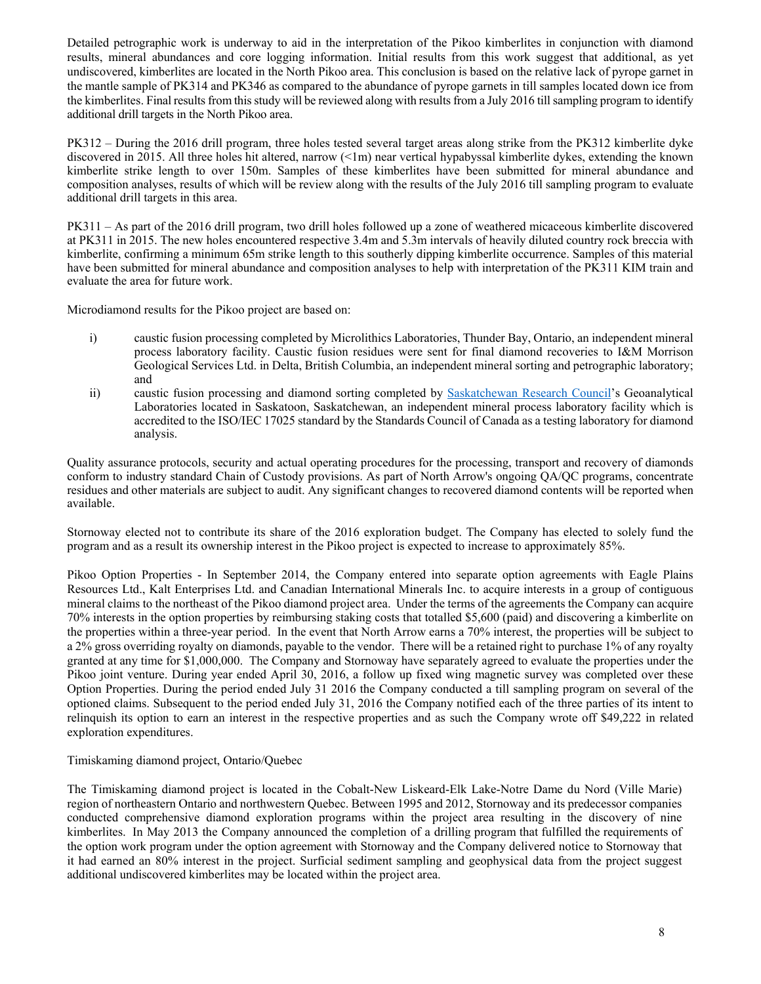Detailed petrographic work is underway to aid in the interpretation of the Pikoo kimberlites in conjunction with diamond results, mineral abundances and core logging information. Initial results from this work suggest that additional, as yet undiscovered, kimberlites are located in the North Pikoo area. This conclusion is based on the relative lack of pyrope garnet in the mantle sample of PK314 and PK346 as compared to the abundance of pyrope garnets in till samples located down ice from the kimberlites. Final results from this study will be reviewed along with results from a July 2016 till sampling program to identify additional drill targets in the North Pikoo area.

PK312 – During the 2016 drill program, three holes tested several target areas along strike from the PK312 kimberlite dyke discovered in 2015. All three holes hit altered, narrow (<1m) near vertical hypabyssal kimberlite dykes, extending the known kimberlite strike length to over 150m. Samples of these kimberlites have been submitted for mineral abundance and composition analyses, results of which will be review along with the results of the July 2016 till sampling program to evaluate additional drill targets in this area.

PK311 – As part of the 2016 drill program, two drill holes followed up a zone of weathered micaceous kimberlite discovered at PK311 in 2015. The new holes encountered respective 3.4m and 5.3m intervals of heavily diluted country rock breccia with kimberlite, confirming a minimum 65m strike length to this southerly dipping kimberlite occurrence. Samples of this material have been submitted for mineral abundance and composition analyses to help with interpretation of the PK311 KIM train and evaluate the area for future work.

Microdiamond results for the Pikoo project are based on:

- i) caustic fusion processing completed by Microlithics Laboratories, Thunder Bay, Ontario, an independent mineral process laboratory facility. Caustic fusion residues were sent for final diamond recoveries to I&M Morrison Geological Services Ltd. in Delta, British Columbia, an independent mineral sorting and petrographic laboratory; and
- ii) caustic fusion processing and diamond sorting completed by Saskatchewan Research Council's Geoanalytical Laboratories located in Saskatoon, Saskatchewan, an independent mineral process laboratory facility which is accredited to the ISO/IEC 17025 standard by the Standards Council of Canada as a testing laboratory for diamond analysis.

Quality assurance protocols, security and actual operating procedures for the processing, transport and recovery of diamonds conform to industry standard Chain of Custody provisions. As part of North Arrow's ongoing QA/QC programs, concentrate residues and other materials are subject to audit. Any significant changes to recovered diamond contents will be reported when available.

Stornoway elected not to contribute its share of the 2016 exploration budget. The Company has elected to solely fund the program and as a result its ownership interest in the Pikoo project is expected to increase to approximately 85%.

Pikoo Option Properties - In September 2014, the Company entered into separate option agreements with Eagle Plains Resources Ltd., Kalt Enterprises Ltd. and Canadian International Minerals Inc. to acquire interests in a group of contiguous mineral claims to the northeast of the Pikoo diamond project area. Under the terms of the agreements the Company can acquire 70% interests in the option properties by reimbursing staking costs that totalled \$5,600 (paid) and discovering a kimberlite on the properties within a three-year period. In the event that North Arrow earns a 70% interest, the properties will be subject to a 2% gross overriding royalty on diamonds, payable to the vendor. There will be a retained right to purchase 1% of any royalty granted at any time for \$1,000,000. The Company and Stornoway have separately agreed to evaluate the properties under the Pikoo joint venture. During year ended April 30, 2016, a follow up fixed wing magnetic survey was completed over these Option Properties. During the period ended July 31 2016 the Company conducted a till sampling program on several of the optioned claims. Subsequent to the period ended July 31, 2016 the Company notified each of the three parties of its intent to relinquish its option to earn an interest in the respective properties and as such the Company wrote off \$49,222 in related exploration expenditures.

# Timiskaming diamond project, Ontario/Quebec

The Timiskaming diamond project is located in the Cobalt-New Liskeard-Elk Lake-Notre Dame du Nord (Ville Marie) region of northeastern Ontario and northwestern Quebec. Between 1995 and 2012, Stornoway and its predecessor companies conducted comprehensive diamond exploration programs within the project area resulting in the discovery of nine kimberlites. In May 2013 the Company announced the completion of a drilling program that fulfilled the requirements of the option work program under the option agreement with Stornoway and the Company delivered notice to Stornoway that it had earned an 80% interest in the project. Surficial sediment sampling and geophysical data from the project suggest additional undiscovered kimberlites may be located within the project area.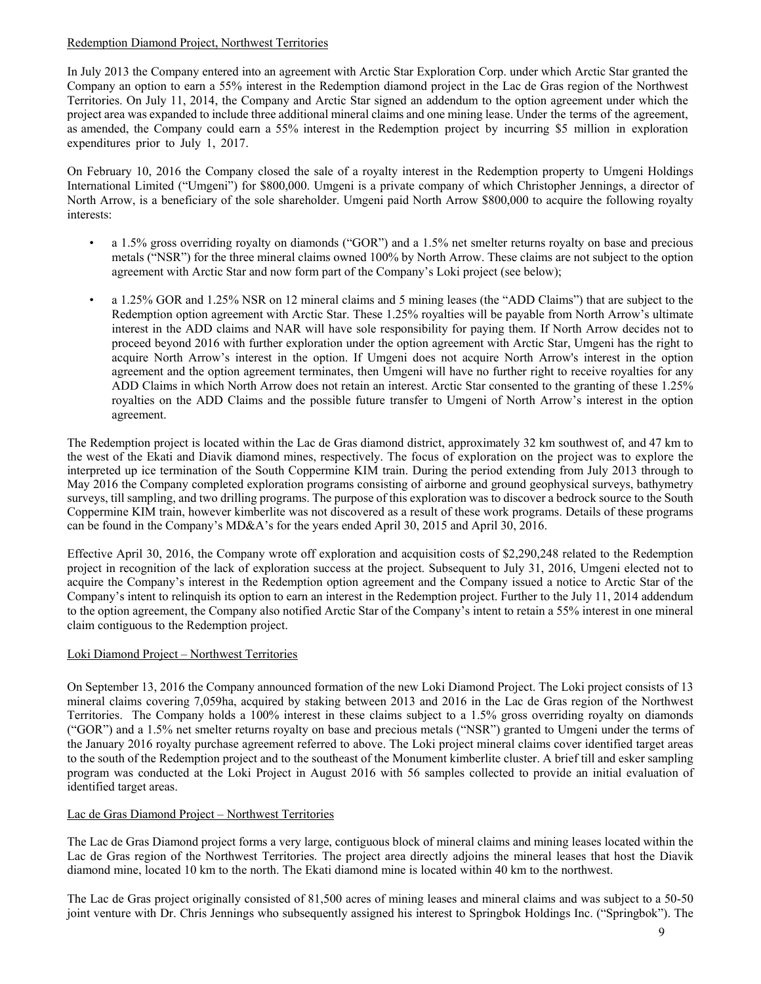# Redemption Diamond Project, Northwest Territories

In July 2013 the Company entered into an agreement with Arctic Star Exploration Corp. under which Arctic Star granted the Company an option to earn a 55% interest in the Redemption diamond project in the Lac de Gras region of the Northwest Territories. On July 11, 2014, the Company and Arctic Star signed an addendum to the option agreement under which the project area was expanded to include three additional mineral claims and one mining lease. Under the terms of the agreement, as amended, the Company could earn a 55% interest in the Redemption project by incurring \$5 million in exploration expenditures prior to July 1, 2017.

On February 10, 2016 the Company closed the sale of a royalty interest in the Redemption property to Umgeni Holdings International Limited ("Umgeni") for \$800,000. Umgeni is a private company of which Christopher Jennings, a director of North Arrow, is a beneficiary of the sole shareholder. Umgeni paid North Arrow \$800,000 to acquire the following royalty interests:

- a 1.5% gross overriding royalty on diamonds ("GOR") and a 1.5% net smelter returns royalty on base and precious metals ("NSR") for the three mineral claims owned 100% by North Arrow. These claims are not subject to the option agreement with Arctic Star and now form part of the Company's Loki project (see below);
- a 1.25% GOR and 1.25% NSR on 12 mineral claims and 5 mining leases (the "ADD Claims") that are subject to the Redemption option agreement with Arctic Star. These 1.25% royalties will be payable from North Arrow's ultimate interest in the ADD claims and NAR will have sole responsibility for paying them. If North Arrow decides not to proceed beyond 2016 with further exploration under the option agreement with Arctic Star, Umgeni has the right to acquire North Arrow's interest in the option. If Umgeni does not acquire North Arrow's interest in the option agreement and the option agreement terminates, then Umgeni will have no further right to receive royalties for any ADD Claims in which North Arrow does not retain an interest. Arctic Star consented to the granting of these 1.25% royalties on the ADD Claims and the possible future transfer to Umgeni of North Arrow's interest in the option agreement.

The Redemption project is located within the Lac de Gras diamond district, approximately 32 km southwest of, and 47 km to the west of the Ekati and Diavik diamond mines, respectively. The focus of exploration on the project was to explore the interpreted up ice termination of the South Coppermine KIM train. During the period extending from July 2013 through to May 2016 the Company completed exploration programs consisting of airborne and ground geophysical surveys, bathymetry surveys, till sampling, and two drilling programs. The purpose of this exploration was to discover a bedrock source to the South Coppermine KIM train, however kimberlite was not discovered as a result of these work programs. Details of these programs can be found in the Company's MD&A's for the years ended April 30, 2015 and April 30, 2016.

Effective April 30, 2016, the Company wrote off exploration and acquisition costs of \$2,290,248 related to the Redemption project in recognition of the lack of exploration success at the project. Subsequent to July 31, 2016, Umgeni elected not to acquire the Company's interest in the Redemption option agreement and the Company issued a notice to Arctic Star of the Company's intent to relinquish its option to earn an interest in the Redemption project. Further to the July 11, 2014 addendum to the option agreement, the Company also notified Arctic Star of the Company's intent to retain a 55% interest in one mineral claim contiguous to the Redemption project.

# Loki Diamond Project – Northwest Territories

On September 13, 2016 the Company announced formation of the new Loki Diamond Project. The Loki project consists of 13 mineral claims covering 7,059ha, acquired by staking between 2013 and 2016 in the Lac de Gras region of the Northwest Territories. The Company holds a 100% interest in these claims subject to a 1.5% gross overriding royalty on diamonds ("GOR") and a 1.5% net smelter returns royalty on base and precious metals ("NSR") granted to Umgeni under the terms of the January 2016 royalty purchase agreement referred to above. The Loki project mineral claims cover identified target areas to the south of the Redemption project and to the southeast of the Monument kimberlite cluster. A brief till and esker sampling program was conducted at the Loki Project in August 2016 with 56 samples collected to provide an initial evaluation of identified target areas.

# Lac de Gras Diamond Project – Northwest Territories

The Lac de Gras Diamond project forms a very large, contiguous block of mineral claims and mining leases located within the Lac de Gras region of the Northwest Territories. The project area directly adjoins the mineral leases that host the Diavik diamond mine, located 10 km to the north. The Ekati diamond mine is located within 40 km to the northwest.

The Lac de Gras project originally consisted of 81,500 acres of mining leases and mineral claims and was subject to a 50-50 joint venture with Dr. Chris Jennings who subsequently assigned his interest to Springbok Holdings Inc. ("Springbok"). The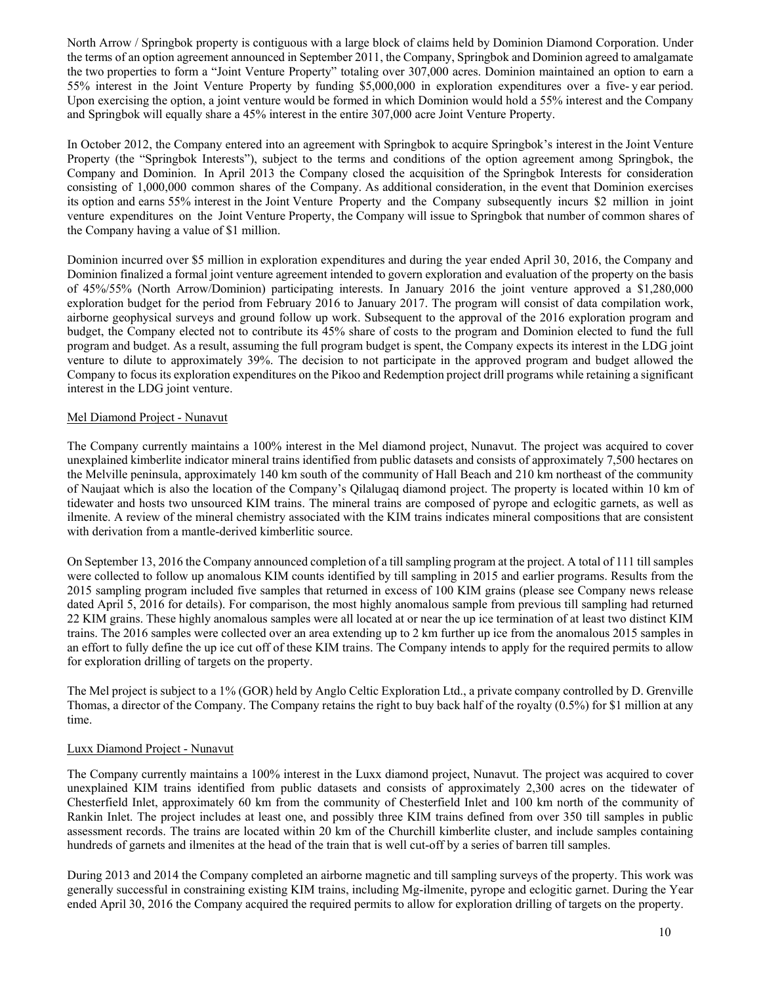North Arrow / Springbok property is contiguous with a large block of claims held by Dominion Diamond Corporation. Under the terms of an option agreement announced in September 2011, the Company, Springbok and Dominion agreed to amalgamate the two properties to form a "Joint Venture Property" totaling over 307,000 acres. Dominion maintained an option to earn a 55% interest in the Joint Venture Property by funding \$5,000,000 in exploration expenditures over a five- y ear period. Upon exercising the option, a joint venture would be formed in which Dominion would hold a 55% interest and the Company and Springbok will equally share a 45% interest in the entire 307,000 acre Joint Venture Property.

In October 2012, the Company entered into an agreement with Springbok to acquire Springbok's interest in the Joint Venture Property (the "Springbok Interests"), subject to the terms and conditions of the option agreement among Springbok, the Company and Dominion. In April 2013 the Company closed the acquisition of the Springbok Interests for consideration consisting of 1,000,000 common shares of the Company. As additional consideration, in the event that Dominion exercises its option and earns 55% interest in the Joint Venture Property and the Company subsequently incurs \$2 million in joint venture expenditures on the Joint Venture Property, the Company will issue to Springbok that number of common shares of the Company having a value of \$1 million.

Dominion incurred over \$5 million in exploration expenditures and during the year ended April 30, 2016, the Company and Dominion finalized a formal joint venture agreement intended to govern exploration and evaluation of the property on the basis of 45%/55% (North Arrow/Dominion) participating interests. In January 2016 the joint venture approved a \$1,280,000 exploration budget for the period from February 2016 to January 2017. The program will consist of data compilation work, airborne geophysical surveys and ground follow up work. Subsequent to the approval of the 2016 exploration program and budget, the Company elected not to contribute its 45% share of costs to the program and Dominion elected to fund the full program and budget. As a result, assuming the full program budget is spent, the Company expects its interest in the LDG joint venture to dilute to approximately 39%. The decision to not participate in the approved program and budget allowed the Company to focus its exploration expenditures on the Pikoo and Redemption project drill programs while retaining a significant interest in the LDG joint venture.

## Mel Diamond Project - Nunavut

The Company currently maintains a 100% interest in the Mel diamond project, Nunavut. The project was acquired to cover unexplained kimberlite indicator mineral trains identified from public datasets and consists of approximately 7,500 hectares on the Melville peninsula, approximately 140 km south of the community of Hall Beach and 210 km northeast of the community of Naujaat which is also the location of the Company's Qilalugaq diamond project. The property is located within 10 km of tidewater and hosts two unsourced KIM trains. The mineral trains are composed of pyrope and eclogitic garnets, as well as ilmenite. A review of the mineral chemistry associated with the KIM trains indicates mineral compositions that are consistent with derivation from a mantle-derived kimberlitic source.

On September 13, 2016 the Company announced completion of a till sampling program at the project. A total of 111 till samples were collected to follow up anomalous KIM counts identified by till sampling in 2015 and earlier programs. Results from the 2015 sampling program included five samples that returned in excess of 100 KIM grains (please see Company news release dated April 5, 2016 for details). For comparison, the most highly anomalous sample from previous till sampling had returned 22 KIM grains. These highly anomalous samples were all located at or near the up ice termination of at least two distinct KIM trains. The 2016 samples were collected over an area extending up to 2 km further up ice from the anomalous 2015 samples in an effort to fully define the up ice cut off of these KIM trains. The Company intends to apply for the required permits to allow for exploration drilling of targets on the property.

The Mel project is subject to a 1% (GOR) held by Anglo Celtic Exploration Ltd., a private company controlled by D. Grenville Thomas, a director of the Company. The Company retains the right to buy back half of the royalty (0.5%) for \$1 million at any time.

#### Luxx Diamond Project - Nunavut

The Company currently maintains a 100% interest in the Luxx diamond project, Nunavut. The project was acquired to cover unexplained KIM trains identified from public datasets and consists of approximately 2,300 acres on the tidewater of Chesterfield Inlet, approximately 60 km from the community of Chesterfield Inlet and 100 km north of the community of Rankin Inlet. The project includes at least one, and possibly three KIM trains defined from over 350 till samples in public assessment records. The trains are located within 20 km of the Churchill kimberlite cluster, and include samples containing hundreds of garnets and ilmenites at the head of the train that is well cut-off by a series of barren till samples.

During 2013 and 2014 the Company completed an airborne magnetic and till sampling surveys of the property. This work was generally successful in constraining existing KIM trains, including Mg-ilmenite, pyrope and eclogitic garnet. During the Year ended April 30, 2016 the Company acquired the required permits to allow for exploration drilling of targets on the property.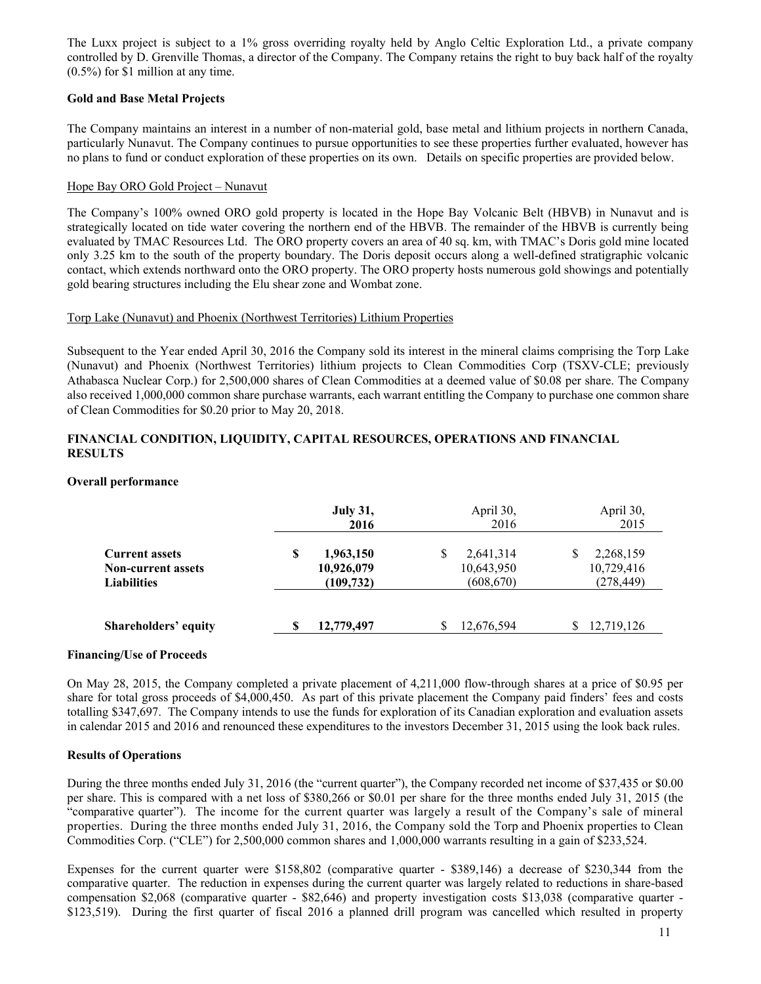The Luxx project is subject to a 1% gross overriding royalty held by Anglo Celtic Exploration Ltd., a private company controlled by D. Grenville Thomas, a director of the Company. The Company retains the right to buy back half of the royalty (0.5%) for \$1 million at any time.

# **Gold and Base Metal Projects**

The Company maintains an interest in a number of non-material gold, base metal and lithium projects in northern Canada, particularly Nunavut. The Company continues to pursue opportunities to see these properties further evaluated, however has no plans to fund or conduct exploration of these properties on its own. Details on specific properties are provided below.

## Hope Bay ORO Gold Project – Nunavut

The Company's 100% owned ORO gold property is located in the Hope Bay Volcanic Belt (HBVB) in Nunavut and is strategically located on tide water covering the northern end of the HBVB. The remainder of the HBVB is currently being evaluated by TMAC Resources Ltd. The ORO property covers an area of 40 sq. km, with TMAC's Doris gold mine located only 3.25 km to the south of the property boundary. The Doris deposit occurs along a well-defined stratigraphic volcanic contact, which extends northward onto the ORO property. The ORO property hosts numerous gold showings and potentially gold bearing structures including the Elu shear zone and Wombat zone.

## Torp Lake (Nunavut) and Phoenix (Northwest Territories) Lithium Properties

Subsequent to the Year ended April 30, 2016 the Company sold its interest in the mineral claims comprising the Torp Lake (Nunavut) and Phoenix (Northwest Territories) lithium projects to Clean Commodities Corp (TSXV-CLE; previously Athabasca Nuclear Corp.) for 2,500,000 shares of Clean Commodities at a deemed value of \$0.08 per share. The Company also received 1,000,000 common share purchase warrants, each warrant entitling the Company to purchase one common share of Clean Commodities for \$0.20 prior to May 20, 2018.

## **FINANCIAL CONDITION, LIQUIDITY, CAPITAL RESOURCES, OPERATIONS AND FINANCIAL RESULTS**

## **Overall performance**

|                                                                          |   | <b>July 31,</b><br>2016               |   | April 30,<br>2016                     | April 30,<br>2015                     |
|--------------------------------------------------------------------------|---|---------------------------------------|---|---------------------------------------|---------------------------------------|
| <b>Current assets</b><br><b>Non-current assets</b><br><b>Liabilities</b> | S | 1,963,150<br>10,926,079<br>(109, 732) | S | 2,641,314<br>10,643,950<br>(608, 670) | 2,268,159<br>10,729,416<br>(278, 449) |
| <b>Shareholders' equity</b>                                              | S | 12,779,497                            |   | 12,676,594                            | 12,719,126                            |

#### **Financing/Use of Proceeds**

On May 28, 2015, the Company completed a private placement of 4,211,000 flow-through shares at a price of \$0.95 per share for total gross proceeds of \$4,000,450. As part of this private placement the Company paid finders' fees and costs totalling \$347,697. The Company intends to use the funds for exploration of its Canadian exploration and evaluation assets in calendar 2015 and 2016 and renounced these expenditures to the investors December 31, 2015 using the look back rules.

# **Results of Operations**

During the three months ended July 31, 2016 (the "current quarter"), the Company recorded net income of \$37,435 or \$0.00 per share. This is compared with a net loss of \$380,266 or \$0.01 per share for the three months ended July 31, 2015 (the "comparative quarter"). The income for the current quarter was largely a result of the Company's sale of mineral properties. During the three months ended July 31, 2016, the Company sold the Torp and Phoenix properties to Clean Commodities Corp. ("CLE") for 2,500,000 common shares and 1,000,000 warrants resulting in a gain of \$233,524.

Expenses for the current quarter were \$158,802 (comparative quarter - \$389,146) a decrease of \$230,344 from the comparative quarter. The reduction in expenses during the current quarter was largely related to reductions in share-based compensation \$2,068 (comparative quarter - \$82,646) and property investigation costs \$13,038 (comparative quarter - \$123,519). During the first quarter of fiscal 2016 a planned drill program was cancelled which resulted in property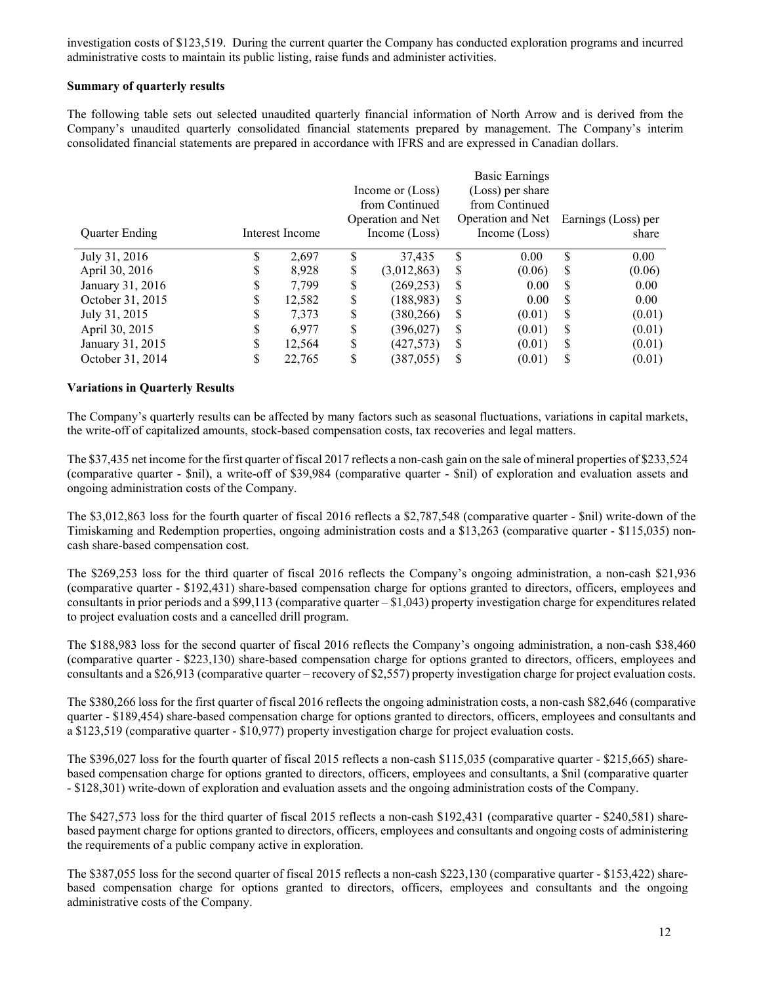investigation costs of \$123,519. During the current quarter the Company has conducted exploration programs and incurred administrative costs to maintain its public listing, raise funds and administer activities.

# **Summary of quarterly results**

The following table sets out selected unaudited quarterly financial information of North Arrow and is derived from the Company's unaudited quarterly consolidated financial statements prepared by management. The Company's interim consolidated financial statements are prepared in accordance with IFRS and are expressed in Canadian dollars.

 $B = B$ 

|                  |   |                 |    |                   |    | Basic Earnings    |     |                     |
|------------------|---|-----------------|----|-------------------|----|-------------------|-----|---------------------|
|                  |   |                 |    | Income or (Loss)  |    | (Loss) per share  |     |                     |
|                  |   |                 |    | from Continued    |    | from Continued    |     |                     |
|                  |   |                 |    | Operation and Net |    | Operation and Net |     | Earnings (Loss) per |
| Quarter Ending   |   | Interest Income |    | Income (Loss)     |    | Income (Loss)     |     | share               |
| July 31, 2016    |   | 2.697           | S  | 37.435            | \$ | 0.00              | \$  | 0.00                |
| April 30, 2016   | S | 8,928           | \$ | (3,012,863)       | S  | (0.06)            | S   | (0.06)              |
| January 31, 2016 | S | 7,799           | \$ | (269, 253)        | S  | 0.00              | S   | 0.00                |
| October 31, 2015 | S | 12,582          | \$ | (188, 983)        | S  | 0.00              | \$. | 0.00                |
| July 31, 2015    | S | 7,373           | \$ | (380, 266)        | S  | (0.01)            | S   | (0.01)              |
| April 30, 2015   |   | 6,977           | \$ | (396, 027)        | S  | (0.01)            | S   | (0.01)              |
| January 31, 2015 | S | 12,564          | S  | (427, 573)        | S  | (0.01)            | S   | (0.01)              |
| October 31, 2014 |   | 22,765          | \$ | (387, 055)        | S  | (0.01)            | S   | (0.01)              |
|                  |   |                 |    |                   |    |                   |     |                     |

## **Variations in Quarterly Results**

The Company's quarterly results can be affected by many factors such as seasonal fluctuations, variations in capital markets, the write-off of capitalized amounts, stock-based compensation costs, tax recoveries and legal matters.

The \$37,435 net income for the first quarter of fiscal 2017 reflects a non-cash gain on the sale of mineral properties of \$233,524 (comparative quarter - \$nil), a write-off of \$39,984 (comparative quarter - \$nil) of exploration and evaluation assets and ongoing administration costs of the Company.

The \$3,012,863 loss for the fourth quarter of fiscal 2016 reflects a \$2,787,548 (comparative quarter - \$nil) write-down of the Timiskaming and Redemption properties, ongoing administration costs and a \$13,263 (comparative quarter - \$115,035) noncash share-based compensation cost.

The \$269,253 loss for the third quarter of fiscal 2016 reflects the Company's ongoing administration, a non-cash \$21,936 (comparative quarter - \$192,431) share-based compensation charge for options granted to directors, officers, employees and consultants in prior periods and a \$99,113 (comparative quarter – \$1,043) property investigation charge for expenditures related to project evaluation costs and a cancelled drill program.

The \$188,983 loss for the second quarter of fiscal 2016 reflects the Company's ongoing administration, a non-cash \$38,460 (comparative quarter - \$223,130) share-based compensation charge for options granted to directors, officers, employees and consultants and a \$26,913 (comparative quarter – recovery of \$2,557) property investigation charge for project evaluation costs.

The \$380,266 loss for the first quarter of fiscal 2016 reflects the ongoing administration costs, a non-cash \$82,646 (comparative quarter - \$189,454) share-based compensation charge for options granted to directors, officers, employees and consultants and a \$123,519 (comparative quarter - \$10,977) property investigation charge for project evaluation costs.

The \$396,027 loss for the fourth quarter of fiscal 2015 reflects a non-cash \$115,035 (comparative quarter - \$215,665) sharebased compensation charge for options granted to directors, officers, employees and consultants, a \$nil (comparative quarter - \$128,301) write-down of exploration and evaluation assets and the ongoing administration costs of the Company.

The \$427,573 loss for the third quarter of fiscal 2015 reflects a non-cash \$192,431 (comparative quarter - \$240,581) sharebased payment charge for options granted to directors, officers, employees and consultants and ongoing costs of administering the requirements of a public company active in exploration.

The \$387,055 loss for the second quarter of fiscal 2015 reflects a non-cash \$223,130 (comparative quarter - \$153,422) sharebased compensation charge for options granted to directors, officers, employees and consultants and the ongoing administrative costs of the Company.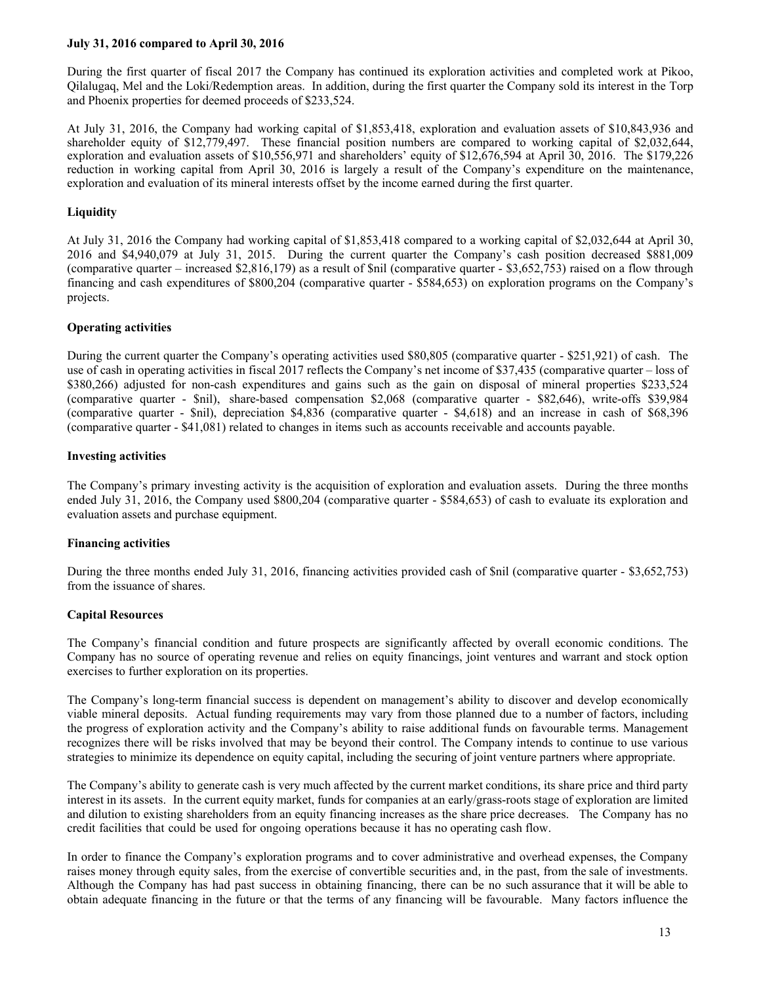## **July 31, 2016 compared to April 30, 2016**

During the first quarter of fiscal 2017 the Company has continued its exploration activities and completed work at Pikoo, Qilalugaq, Mel and the Loki/Redemption areas. In addition, during the first quarter the Company sold its interest in the Torp and Phoenix properties for deemed proceeds of \$233,524.

At July 31, 2016, the Company had working capital of \$1,853,418, exploration and evaluation assets of \$10,843,936 and shareholder equity of \$12,779,497. These financial position numbers are compared to working capital of \$2,032,644, exploration and evaluation assets of \$10,556,971 and shareholders' equity of \$12,676,594 at April 30, 2016. The \$179,226 reduction in working capital from April 30, 2016 is largely a result of the Company's expenditure on the maintenance, exploration and evaluation of its mineral interests offset by the income earned during the first quarter.

# **Liquidity**

At July 31, 2016 the Company had working capital of \$1,853,418 compared to a working capital of \$2,032,644 at April 30, 2016 and \$4,940,079 at July 31, 2015. During the current quarter the Company's cash position decreased \$881,009 (comparative quarter – increased \$2,816,179) as a result of \$nil (comparative quarter - \$3,652,753) raised on a flow through financing and cash expenditures of \$800,204 (comparative quarter - \$584,653) on exploration programs on the Company's projects.

# **Operating activities**

During the current quarter the Company's operating activities used \$80,805 (comparative quarter - \$251,921) of cash. The use of cash in operating activities in fiscal 2017 reflects the Company's net income of \$37,435 (comparative quarter – loss of \$380,266) adjusted for non-cash expenditures and gains such as the gain on disposal of mineral properties \$233,524 (comparative quarter - \$nil), share-based compensation \$2,068 (comparative quarter - \$82,646), write-offs \$39,984 (comparative quarter - \$nil), depreciation \$4,836 (comparative quarter - \$4,618) and an increase in cash of \$68,396 (comparative quarter - \$41,081) related to changes in items such as accounts receivable and accounts payable.

## **Investing activities**

The Company's primary investing activity is the acquisition of exploration and evaluation assets. During the three months ended July 31, 2016, the Company used \$800,204 (comparative quarter - \$584,653) of cash to evaluate its exploration and evaluation assets and purchase equipment.

# **Financing activities**

During the three months ended July 31, 2016, financing activities provided cash of \$nil (comparative quarter - \$3,652,753) from the issuance of shares.

# **Capital Resources**

The Company's financial condition and future prospects are significantly affected by overall economic conditions. The Company has no source of operating revenue and relies on equity financings, joint ventures and warrant and stock option exercises to further exploration on its properties.

The Company's long-term financial success is dependent on management's ability to discover and develop economically viable mineral deposits. Actual funding requirements may vary from those planned due to a number of factors, including the progress of exploration activity and the Company's ability to raise additional funds on favourable terms. Management recognizes there will be risks involved that may be beyond their control. The Company intends to continue to use various strategies to minimize its dependence on equity capital, including the securing of joint venture partners where appropriate.

The Company's ability to generate cash is very much affected by the current market conditions, its share price and third party interest in its assets. In the current equity market, funds for companies at an early/grass-roots stage of exploration are limited and dilution to existing shareholders from an equity financing increases as the share price decreases. The Company has no credit facilities that could be used for ongoing operations because it has no operating cash flow.

In order to finance the Company's exploration programs and to cover administrative and overhead expenses, the Company raises money through equity sales, from the exercise of convertible securities and, in the past, from the sale of investments. Although the Company has had past success in obtaining financing, there can be no such assurance that it will be able to obtain adequate financing in the future or that the terms of any financing will be favourable. Many factors influence the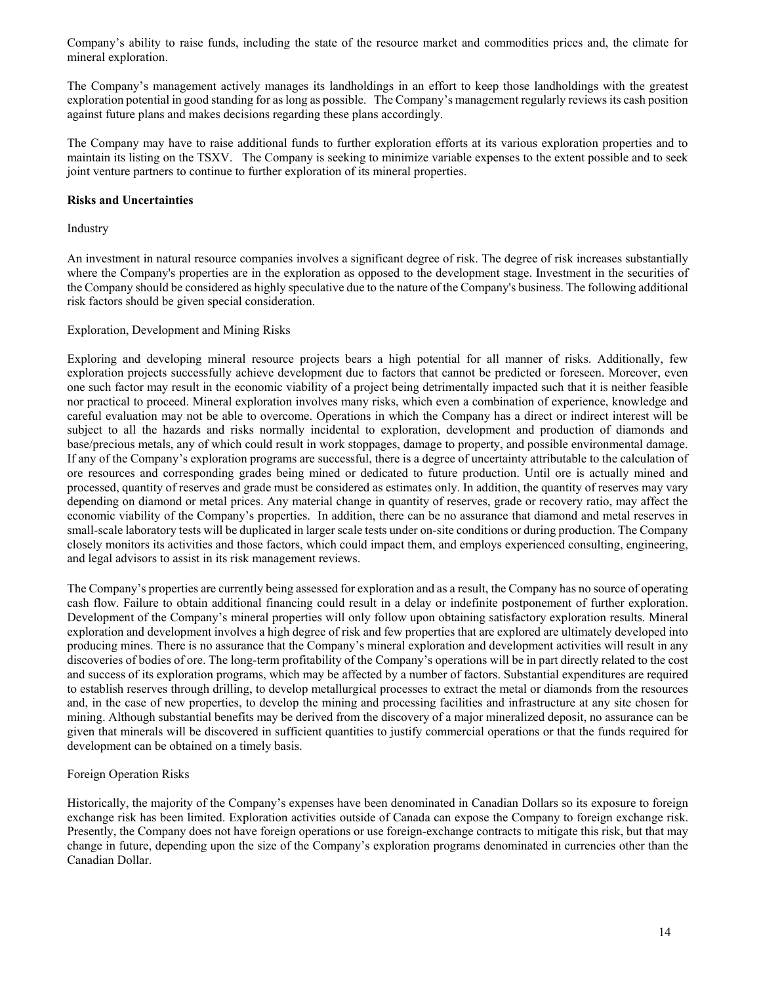Company's ability to raise funds, including the state of the resource market and commodities prices and, the climate for mineral exploration.

The Company's management actively manages its landholdings in an effort to keep those landholdings with the greatest exploration potential in good standing for as long as possible. The Company's management regularly reviews its cash position against future plans and makes decisions regarding these plans accordingly.

The Company may have to raise additional funds to further exploration efforts at its various exploration properties and to maintain its listing on the TSXV. The Company is seeking to minimize variable expenses to the extent possible and to seek joint venture partners to continue to further exploration of its mineral properties.

## **Risks and Uncertainties**

Industry

An investment in natural resource companies involves a significant degree of risk. The degree of risk increases substantially where the Company's properties are in the exploration as opposed to the development stage. Investment in the securities of the Company should be considered as highly speculative due to the nature of the Company's business. The following additional risk factors should be given special consideration.

## Exploration, Development and Mining Risks

Exploring and developing mineral resource projects bears a high potential for all manner of risks. Additionally, few exploration projects successfully achieve development due to factors that cannot be predicted or foreseen. Moreover, even one such factor may result in the economic viability of a project being detrimentally impacted such that it is neither feasible nor practical to proceed. Mineral exploration involves many risks, which even a combination of experience, knowledge and careful evaluation may not be able to overcome. Operations in which the Company has a direct or indirect interest will be subject to all the hazards and risks normally incidental to exploration, development and production of diamonds and base/precious metals, any of which could result in work stoppages, damage to property, and possible environmental damage. If any of the Company's exploration programs are successful, there is a degree of uncertainty attributable to the calculation of ore resources and corresponding grades being mined or dedicated to future production. Until ore is actually mined and processed, quantity of reserves and grade must be considered as estimates only. In addition, the quantity of reserves may vary depending on diamond or metal prices. Any material change in quantity of reserves, grade or recovery ratio, may affect the economic viability of the Company's properties. In addition, there can be no assurance that diamond and metal reserves in small-scale laboratory tests will be duplicated in larger scale tests under on-site conditions or during production. The Company closely monitors its activities and those factors, which could impact them, and employs experienced consulting, engineering, and legal advisors to assist in its risk management reviews.

The Company's properties are currently being assessed for exploration and as a result, the Company has no source of operating cash flow. Failure to obtain additional financing could result in a delay or indefinite postponement of further exploration. Development of the Company's mineral properties will only follow upon obtaining satisfactory exploration results. Mineral exploration and development involves a high degree of risk and few properties that are explored are ultimately developed into producing mines. There is no assurance that the Company's mineral exploration and development activities will result in any discoveries of bodies of ore. The long-term profitability of the Company's operations will be in part directly related to the cost and success of its exploration programs, which may be affected by a number of factors. Substantial expenditures are required to establish reserves through drilling, to develop metallurgical processes to extract the metal or diamonds from the resources and, in the case of new properties, to develop the mining and processing facilities and infrastructure at any site chosen for mining. Although substantial benefits may be derived from the discovery of a major mineralized deposit, no assurance can be given that minerals will be discovered in sufficient quantities to justify commercial operations or that the funds required for development can be obtained on a timely basis.

# Foreign Operation Risks

Historically, the majority of the Company's expenses have been denominated in Canadian Dollars so its exposure to foreign exchange risk has been limited. Exploration activities outside of Canada can expose the Company to foreign exchange risk. Presently, the Company does not have foreign operations or use foreign-exchange contracts to mitigate this risk, but that may change in future, depending upon the size of the Company's exploration programs denominated in currencies other than the Canadian Dollar.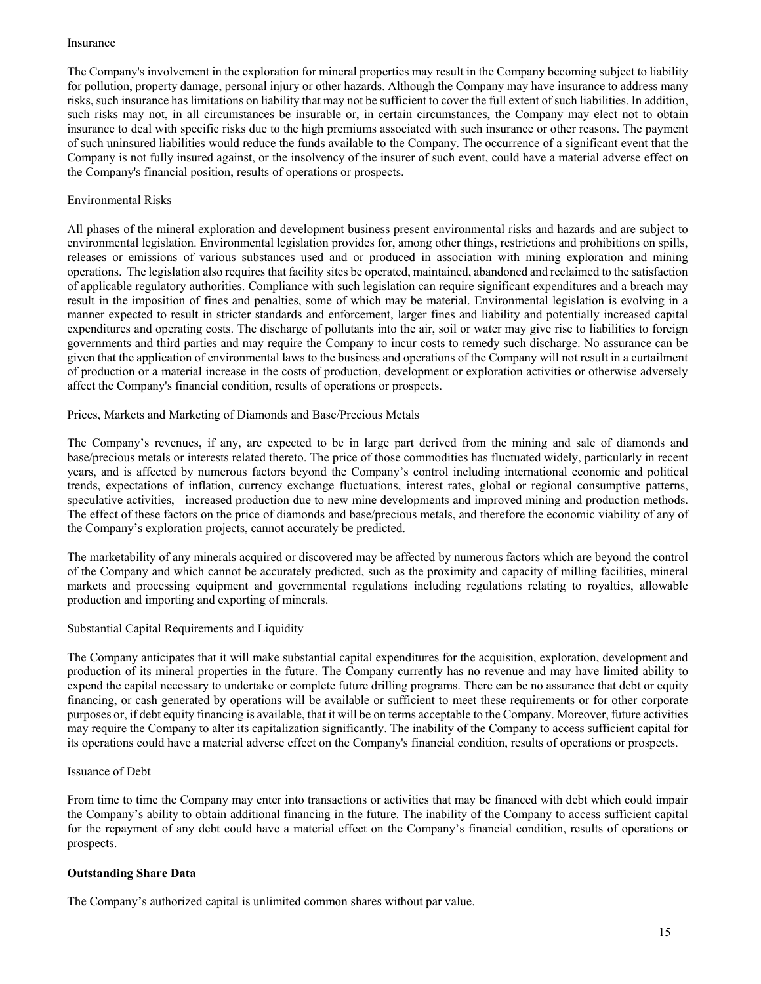#### Insurance

The Company's involvement in the exploration for mineral properties may result in the Company becoming subject to liability for pollution, property damage, personal injury or other hazards. Although the Company may have insurance to address many risks, such insurance has limitations on liability that may not be sufficient to cover the full extent of such liabilities. In addition, such risks may not, in all circumstances be insurable or, in certain circumstances, the Company may elect not to obtain insurance to deal with specific risks due to the high premiums associated with such insurance or other reasons. The payment of such uninsured liabilities would reduce the funds available to the Company. The occurrence of a significant event that the Company is not fully insured against, or the insolvency of the insurer of such event, could have a material adverse effect on the Company's financial position, results of operations or prospects.

# Environmental Risks

All phases of the mineral exploration and development business present environmental risks and hazards and are subject to environmental legislation. Environmental legislation provides for, among other things, restrictions and prohibitions on spills, releases or emissions of various substances used and or produced in association with mining exploration and mining operations. The legislation also requires that facility sites be operated, maintained, abandoned and reclaimed to the satisfaction of applicable regulatory authorities. Compliance with such legislation can require significant expenditures and a breach may result in the imposition of fines and penalties, some of which may be material. Environmental legislation is evolving in a manner expected to result in stricter standards and enforcement, larger fines and liability and potentially increased capital expenditures and operating costs. The discharge of pollutants into the air, soil or water may give rise to liabilities to foreign governments and third parties and may require the Company to incur costs to remedy such discharge. No assurance can be given that the application of environmental laws to the business and operations of the Company will not result in a curtailment of production or a material increase in the costs of production, development or exploration activities or otherwise adversely affect the Company's financial condition, results of operations or prospects.

Prices, Markets and Marketing of Diamonds and Base/Precious Metals

The Company's revenues, if any, are expected to be in large part derived from the mining and sale of diamonds and base/precious metals or interests related thereto. The price of those commodities has fluctuated widely, particularly in recent years, and is affected by numerous factors beyond the Company's control including international economic and political trends, expectations of inflation, currency exchange fluctuations, interest rates, global or regional consumptive patterns, speculative activities, increased production due to new mine developments and improved mining and production methods. The effect of these factors on the price of diamonds and base/precious metals, and therefore the economic viability of any of the Company's exploration projects, cannot accurately be predicted.

The marketability of any minerals acquired or discovered may be affected by numerous factors which are beyond the control of the Company and which cannot be accurately predicted, such as the proximity and capacity of milling facilities, mineral markets and processing equipment and governmental regulations including regulations relating to royalties, allowable production and importing and exporting of minerals.

# Substantial Capital Requirements and Liquidity

The Company anticipates that it will make substantial capital expenditures for the acquisition, exploration, development and production of its mineral properties in the future. The Company currently has no revenue and may have limited ability to expend the capital necessary to undertake or complete future drilling programs. There can be no assurance that debt or equity financing, or cash generated by operations will be available or sufficient to meet these requirements or for other corporate purposes or, if debt equity financing is available, that it will be on terms acceptable to the Company. Moreover, future activities may require the Company to alter its capitalization significantly. The inability of the Company to access sufficient capital for its operations could have a material adverse effect on the Company's financial condition, results of operations or prospects.

#### Issuance of Debt

From time to time the Company may enter into transactions or activities that may be financed with debt which could impair the Company's ability to obtain additional financing in the future. The inability of the Company to access sufficient capital for the repayment of any debt could have a material effect on the Company's financial condition, results of operations or prospects.

#### **Outstanding Share Data**

The Company's authorized capital is unlimited common shares without par value.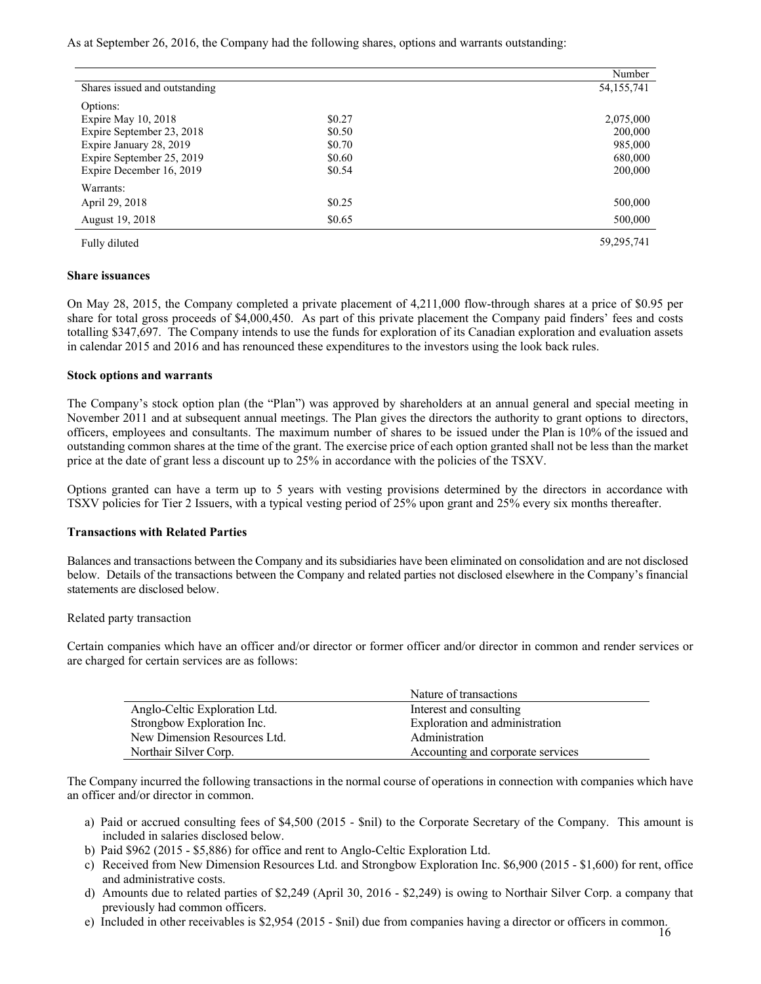As at September 26, 2016, the Company had the following shares, options and warrants outstanding:

|                               |        | Number       |
|-------------------------------|--------|--------------|
| Shares issued and outstanding |        | 54, 155, 741 |
| Options:                      |        |              |
| Expire May 10, 2018           | \$0.27 | 2,075,000    |
| Expire September 23, 2018     | \$0.50 | 200,000      |
| Expire January 28, 2019       | \$0.70 | 985,000      |
| Expire September 25, 2019     | \$0.60 | 680,000      |
| Expire December 16, 2019      | \$0.54 | 200,000      |
| Warrants:                     |        |              |
| April 29, 2018                | \$0.25 | 500,000      |
| August 19, 2018               | \$0.65 | 500,000      |
| Fully diluted                 |        | 59,295,741   |

#### **Share issuances**

On May 28, 2015, the Company completed a private placement of 4,211,000 flow-through shares at a price of \$0.95 per share for total gross proceeds of \$4,000,450. As part of this private placement the Company paid finders' fees and costs totalling \$347,697. The Company intends to use the funds for exploration of its Canadian exploration and evaluation assets in calendar 2015 and 2016 and has renounced these expenditures to the investors using the look back rules.

#### **Stock options and warrants**

The Company's stock option plan (the "Plan") was approved by shareholders at an annual general and special meeting in November 2011 and at subsequent annual meetings. The Plan gives the directors the authority to grant options to directors, officers, employees and consultants. The maximum number of shares to be issued under the Plan is 10% of the issued and outstanding common shares at the time of the grant. The exercise price of each option granted shall not be less than the market price at the date of grant less a discount up to 25% in accordance with the policies of the TSXV.

Options granted can have a term up to 5 years with vesting provisions determined by the directors in accordance with TSXV policies for Tier 2 Issuers, with a typical vesting period of 25% upon grant and 25% every six months thereafter.

# **Transactions with Related Parties**

Balances and transactions between the Company and its subsidiaries have been eliminated on consolidation and are not disclosed below. Details of the transactions between the Company and related parties not disclosed elsewhere in the Company's financial statements are disclosed below.

# Related party transaction

Certain companies which have an officer and/or director or former officer and/or director in common and render services or are charged for certain services are as follows:

|                               | Nature of transactions            |
|-------------------------------|-----------------------------------|
| Anglo-Celtic Exploration Ltd. | Interest and consulting           |
| Strongbow Exploration Inc.    | Exploration and administration    |
| New Dimension Resources Ltd.  | Administration                    |
| Northair Silver Corp.         | Accounting and corporate services |

The Company incurred the following transactions in the normal course of operations in connection with companies which have an officer and/or director in common.

- a) Paid or accrued consulting fees of \$4,500 (2015 \$nil) to the Corporate Secretary of the Company. This amount is included in salaries disclosed below.
- b) Paid \$962 (2015 \$5,886) for office and rent to Anglo-Celtic Exploration Ltd.
- c) Received from New Dimension Resources Ltd. and Strongbow Exploration Inc. \$6,900 (2015 \$1,600) for rent, office and administrative costs.
- d) Amounts due to related parties of \$2,249 (April 30, 2016 \$2,249) is owing to Northair Silver Corp. a company that previously had common officers.
- e) Included in other receivables is \$2,954 (2015 \$nil) due from companies having a director or officers in common.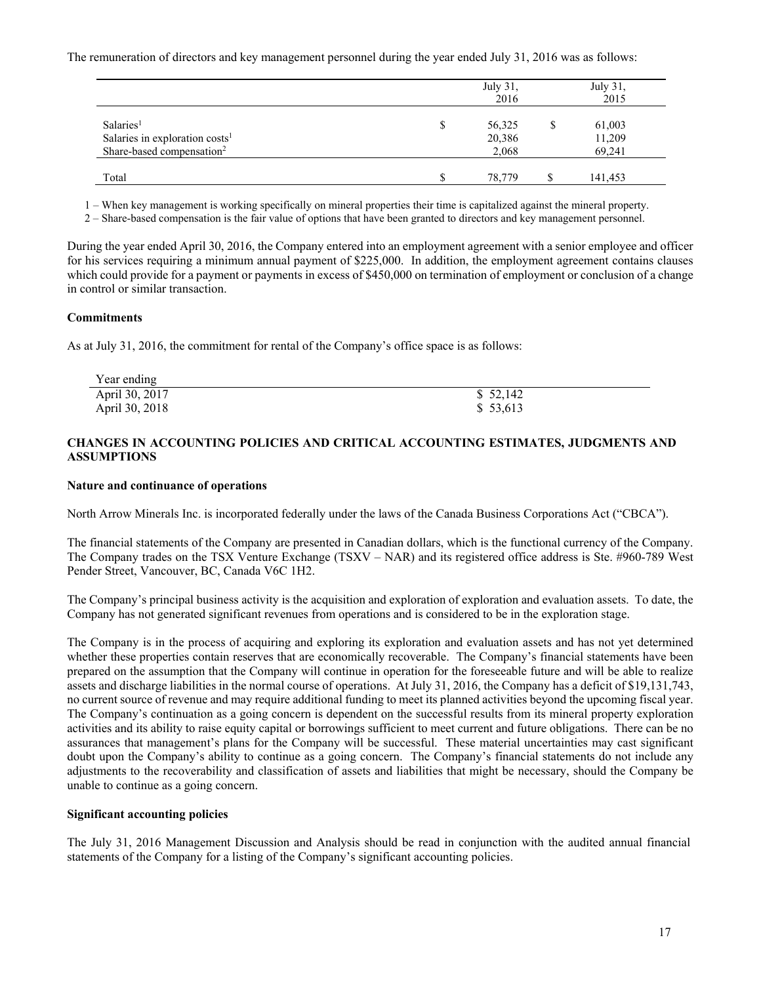The remuneration of directors and key management personnel during the year ended July 31, 2016 was as follows:

|                                            |   | July 31,<br>2016 |   | July 31,<br>2015 |
|--------------------------------------------|---|------------------|---|------------------|
| Salaries <sup>1</sup>                      | S | 56,325           | S | 61,003           |
| Salaries in exploration costs <sup>1</sup> |   | 20,386           |   | 11,209           |
| Share-based compensation <sup>2</sup>      |   | 2,068            |   | 69.241           |
| Total                                      |   | 78,779           |   | 141,453          |

1 – When key management is working specifically on mineral properties their time is capitalized against the mineral property.

2 – Share-based compensation is the fair value of options that have been granted to directors and key management personnel.

During the year ended April 30, 2016, the Company entered into an employment agreement with a senior employee and officer for his services requiring a minimum annual payment of \$225,000. In addition, the employment agreement contains clauses which could provide for a payment or payments in excess of \$450,000 on termination of employment or conclusion of a change in control or similar transaction.

## **Commitments**

As at July 31, 2016, the commitment for rental of the Company's office space is as follows:

| Year ending    |          |
|----------------|----------|
| April 30, 2017 | \$52,142 |
| April 30, 2018 | \$53,613 |

## **CHANGES IN ACCOUNTING POLICIES AND CRITICAL ACCOUNTING ESTIMATES, JUDGMENTS AND ASSUMPTIONS**

#### **Nature and continuance of operations**

North Arrow Minerals Inc. is incorporated federally under the laws of the Canada Business Corporations Act ("CBCA").

The financial statements of the Company are presented in Canadian dollars, which is the functional currency of the Company. The Company trades on the TSX Venture Exchange (TSXV – NAR) and its registered office address is Ste. #960-789 West Pender Street, Vancouver, BC, Canada V6C 1H2.

The Company's principal business activity is the acquisition and exploration of exploration and evaluation assets. To date, the Company has not generated significant revenues from operations and is considered to be in the exploration stage.

The Company is in the process of acquiring and exploring its exploration and evaluation assets and has not yet determined whether these properties contain reserves that are economically recoverable. The Company's financial statements have been prepared on the assumption that the Company will continue in operation for the foreseeable future and will be able to realize assets and discharge liabilities in the normal course of operations. At July 31, 2016, the Company has a deficit of \$19,131,743, no current source of revenue and may require additional funding to meet its planned activities beyond the upcoming fiscal year. The Company's continuation as a going concern is dependent on the successful results from its mineral property exploration activities and its ability to raise equity capital or borrowings sufficient to meet current and future obligations. There can be no assurances that management's plans for the Company will be successful. These material uncertainties may cast significant doubt upon the Company's ability to continue as a going concern. The Company's financial statements do not include any adjustments to the recoverability and classification of assets and liabilities that might be necessary, should the Company be unable to continue as a going concern.

#### **Significant accounting policies**

The July 31, 2016 Management Discussion and Analysis should be read in conjunction with the audited annual financial statements of the Company for a listing of the Company's significant accounting policies.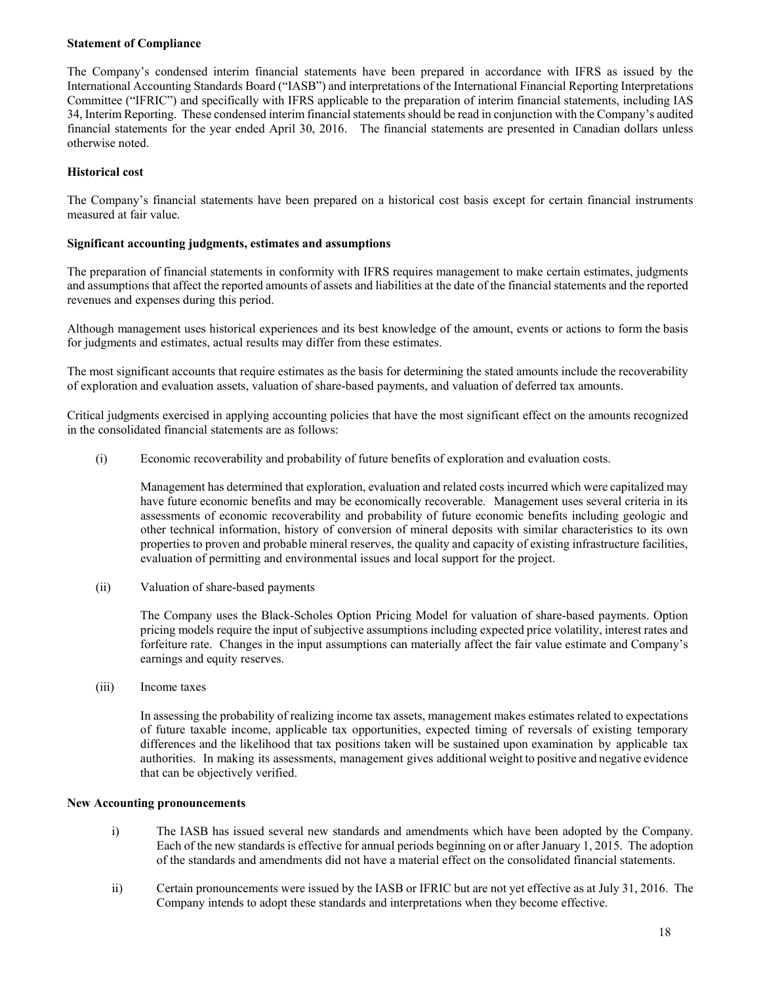# **Statement of Compliance**

The Company's condensed interim financial statements have been prepared in accordance with IFRS as issued by the International Accounting Standards Board ("IASB") and interpretations of the International Financial Reporting Interpretations Committee ("IFRIC") and specifically with IFRS applicable to the preparation of interim financial statements, including IAS 34, Interim Reporting. These condensed interim financial statements should be read in conjunction with the Company's audited financial statements for the year ended April 30, 2016. The financial statements are presented in Canadian dollars unless otherwise noted.

## **Historical cost**

The Company's financial statements have been prepared on a historical cost basis except for certain financial instruments measured at fair value.

#### **Significant accounting judgments, estimates and assumptions**

The preparation of financial statements in conformity with IFRS requires management to make certain estimates, judgments and assumptions that affect the reported amounts of assets and liabilities at the date of the financial statements and the reported revenues and expenses during this period.

Although management uses historical experiences and its best knowledge of the amount, events or actions to form the basis for judgments and estimates, actual results may differ from these estimates.

The most significant accounts that require estimates as the basis for determining the stated amounts include the recoverability of exploration and evaluation assets, valuation of share-based payments, and valuation of deferred tax amounts.

Critical judgments exercised in applying accounting policies that have the most significant effect on the amounts recognized in the consolidated financial statements are as follows:

(i) Economic recoverability and probability of future benefits of exploration and evaluation costs.

Management has determined that exploration, evaluation and related costs incurred which were capitalized may have future economic benefits and may be economically recoverable. Management uses several criteria in its assessments of economic recoverability and probability of future economic benefits including geologic and other technical information, history of conversion of mineral deposits with similar characteristics to its own properties to proven and probable mineral reserves, the quality and capacity of existing infrastructure facilities, evaluation of permitting and environmental issues and local support for the project.

(ii) Valuation of share-based payments

The Company uses the Black-Scholes Option Pricing Model for valuation of share-based payments. Option pricing models require the input of subjective assumptions including expected price volatility, interest rates and forfeiture rate. Changes in the input assumptions can materially affect the fair value estimate and Company's earnings and equity reserves.

(iii) Income taxes

In assessing the probability of realizing income tax assets, management makes estimates related to expectations of future taxable income, applicable tax opportunities, expected timing of reversals of existing temporary differences and the likelihood that tax positions taken will be sustained upon examination by applicable tax authorities. In making its assessments, management gives additional weight to positive and negative evidence that can be objectively verified.

#### **New Accounting pronouncements**

- i) The IASB has issued several new standards and amendments which have been adopted by the Company. Each of the new standards is effective for annual periods beginning on or after January 1, 2015. The adoption of the standards and amendments did not have a material effect on the consolidated financial statements.
- ii) Certain pronouncements were issued by the IASB or IFRIC but are not yet effective as at July 31, 2016. The Company intends to adopt these standards and interpretations when they become effective.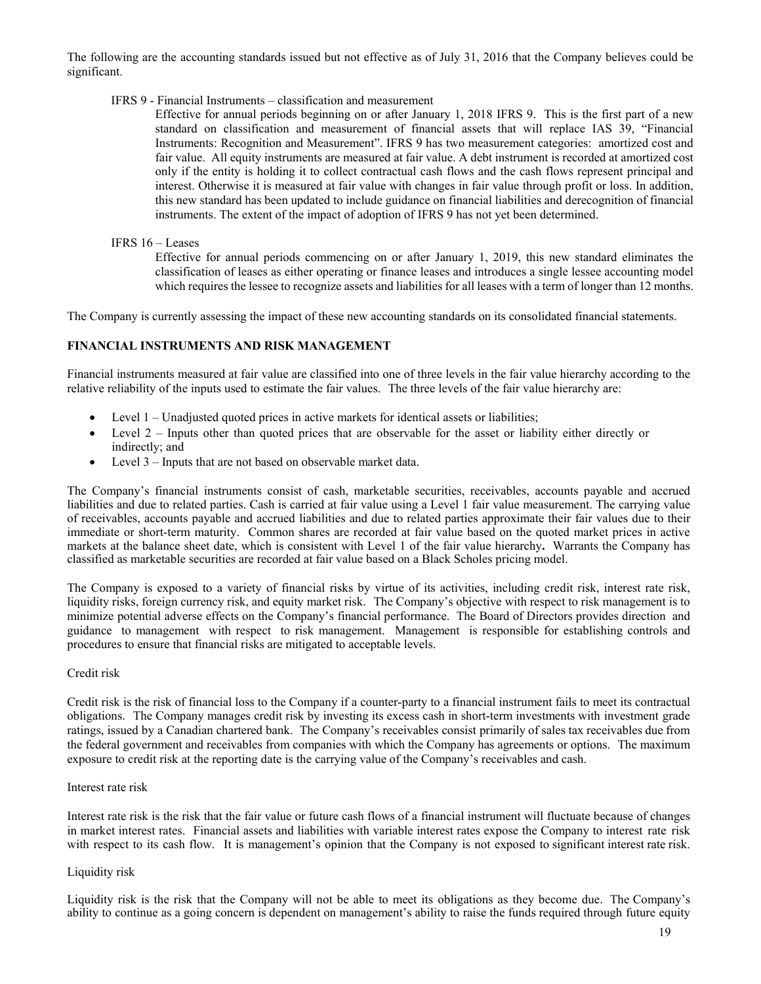The following are the accounting standards issued but not effective as of July 31, 2016 that the Company believes could be significant.

#### IFRS 9 - Financial Instruments – classification and measurement

Effective for annual periods beginning on or after January 1, 2018 IFRS 9. This is the first part of a new standard on classification and measurement of financial assets that will replace IAS 39, "Financial Instruments: Recognition and Measurement". IFRS 9 has two measurement categories: amortized cost and fair value. All equity instruments are measured at fair value. A debt instrument is recorded at amortized cost only if the entity is holding it to collect contractual cash flows and the cash flows represent principal and interest. Otherwise it is measured at fair value with changes in fair value through profit or loss. In addition, this new standard has been updated to include guidance on financial liabilities and derecognition of financial instruments. The extent of the impact of adoption of IFRS 9 has not yet been determined.

## IFRS 16 – Leases

Effective for annual periods commencing on or after January 1, 2019, this new standard eliminates the classification of leases as either operating or finance leases and introduces a single lessee accounting model which requires the lessee to recognize assets and liabilities for all leases with a term of longer than 12 months.

The Company is currently assessing the impact of these new accounting standards on its consolidated financial statements.

# **FINANCIAL INSTRUMENTS AND RISK MANAGEMENT**

Financial instruments measured at fair value are classified into one of three levels in the fair value hierarchy according to the relative reliability of the inputs used to estimate the fair values. The three levels of the fair value hierarchy are:

- Level 1 Unadjusted quoted prices in active markets for identical assets or liabilities;
- Level 2 Inputs other than quoted prices that are observable for the asset or liability either directly or indirectly; and
- Level 3 Inputs that are not based on observable market data.

The Company's financial instruments consist of cash, marketable securities, receivables, accounts payable and accrued liabilities and due to related parties. Cash is carried at fair value using a Level 1 fair value measurement. The carrying value of receivables, accounts payable and accrued liabilities and due to related parties approximate their fair values due to their immediate or short-term maturity. Common shares are recorded at fair value based on the quoted market prices in active markets at the balance sheet date, which is consistent with Level 1 of the fair value hierarchy**.** Warrants the Company has classified as marketable securities are recorded at fair value based on a Black Scholes pricing model.

The Company is exposed to a variety of financial risks by virtue of its activities, including credit risk, interest rate risk, liquidity risks, foreign currency risk, and equity market risk. The Company's objective with respect to risk management is to minimize potential adverse effects on the Company's financial performance. The Board of Directors provides direction and guidance to management with respect to risk management. Management is responsible for establishing controls and procedures to ensure that financial risks are mitigated to acceptable levels.

#### Credit risk

Credit risk is the risk of financial loss to the Company if a counter-party to a financial instrument fails to meet its contractual obligations. The Company manages credit risk by investing its excess cash in short-term investments with investment grade ratings, issued by a Canadian chartered bank. The Company's receivables consist primarily of sales tax receivables due from the federal government and receivables from companies with which the Company has agreements or options. The maximum exposure to credit risk at the reporting date is the carrying value of the Company's receivables and cash.

#### Interest rate risk

Interest rate risk is the risk that the fair value or future cash flows of a financial instrument will fluctuate because of changes in market interest rates. Financial assets and liabilities with variable interest rates expose the Company to interest rate risk with respect to its cash flow. It is management's opinion that the Company is not exposed to significant interest rate risk.

#### Liquidity risk

Liquidity risk is the risk that the Company will not be able to meet its obligations as they become due. The Company's ability to continue as a going concern is dependent on management's ability to raise the funds required through future equity